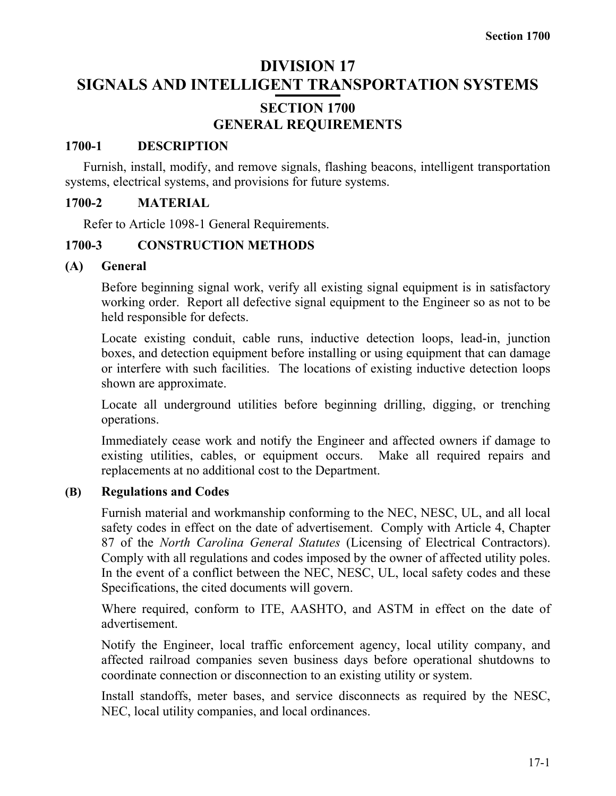# **DIVISION 17 SIGNALS AND INTELLIGENT TRANSPORTATION SYSTEMS**

# **SECTION 1700 GENERAL REQUIREMENTS**

### **1700-1 DESCRIPTION**

Furnish, install, modify, and remove signals, flashing beacons, intelligent transportation systems, electrical systems, and provisions for future systems.

# **1700-2 MATERIAL**

Refer to Article 1098-1 General Requirements.

# **1700-3 CONSTRUCTION METHODS**

### **(A) General**

Before beginning signal work, verify all existing signal equipment is in satisfactory working order. Report all defective signal equipment to the Engineer so as not to be held responsible for defects.

Locate existing conduit, cable runs, inductive detection loops, lead-in, junction boxes, and detection equipment before installing or using equipment that can damage or interfere with such facilities. The locations of existing inductive detection loops shown are approximate.

Locate all underground utilities before beginning drilling, digging, or trenching operations.

Immediately cease work and notify the Engineer and affected owners if damage to existing utilities, cables, or equipment occurs. Make all required repairs and replacements at no additional cost to the Department.

### **(B) Regulations and Codes**

Furnish material and workmanship conforming to the NEC, NESC, UL, and all local safety codes in effect on the date of advertisement. Comply with Article 4, Chapter 87 of the *North Carolina General Statutes* (Licensing of Electrical Contractors). Comply with all regulations and codes imposed by the owner of affected utility poles. In the event of a conflict between the NEC, NESC, UL, local safety codes and these Specifications, the cited documents will govern.

Where required, conform to ITE, AASHTO, and ASTM in effect on the date of advertisement.

Notify the Engineer, local traffic enforcement agency, local utility company, and affected railroad companies seven business days before operational shutdowns to coordinate connection or disconnection to an existing utility or system.

Install standoffs, meter bases, and service disconnects as required by the NESC, NEC, local utility companies, and local ordinances.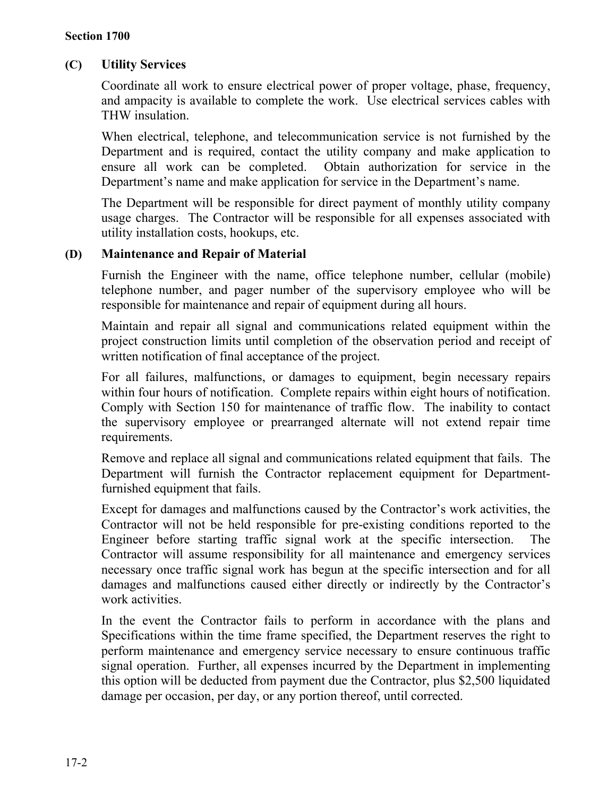## **(C) Utility Services**

Coordinate all work to ensure electrical power of proper voltage, phase, frequency, and ampacity is available to complete the work. Use electrical services cables with THW insulation.

When electrical, telephone, and telecommunication service is not furnished by the Department and is required, contact the utility company and make application to ensure all work can be completed. Obtain authorization for service in the Department's name and make application for service in the Department's name.

The Department will be responsible for direct payment of monthly utility company usage charges. The Contractor will be responsible for all expenses associated with utility installation costs, hookups, etc.

### **(D) Maintenance and Repair of Material**

Furnish the Engineer with the name, office telephone number, cellular (mobile) telephone number, and pager number of the supervisory employee who will be responsible for maintenance and repair of equipment during all hours.

Maintain and repair all signal and communications related equipment within the project construction limits until completion of the observation period and receipt of written notification of final acceptance of the project.

For all failures, malfunctions, or damages to equipment, begin necessary repairs within four hours of notification. Complete repairs within eight hours of notification. Comply with Section 150 for maintenance of traffic flow. The inability to contact the supervisory employee or prearranged alternate will not extend repair time requirements.

Remove and replace all signal and communications related equipment that fails. The Department will furnish the Contractor replacement equipment for Departmentfurnished equipment that fails.

Except for damages and malfunctions caused by the Contractor's work activities, the Contractor will not be held responsible for pre-existing conditions reported to the Engineer before starting traffic signal work at the specific intersection. The Contractor will assume responsibility for all maintenance and emergency services necessary once traffic signal work has begun at the specific intersection and for all damages and malfunctions caused either directly or indirectly by the Contractor's work activities.

In the event the Contractor fails to perform in accordance with the plans and Specifications within the time frame specified, the Department reserves the right to perform maintenance and emergency service necessary to ensure continuous traffic signal operation. Further, all expenses incurred by the Department in implementing this option will be deducted from payment due the Contractor, plus \$2,500 liquidated damage per occasion, per day, or any portion thereof, until corrected.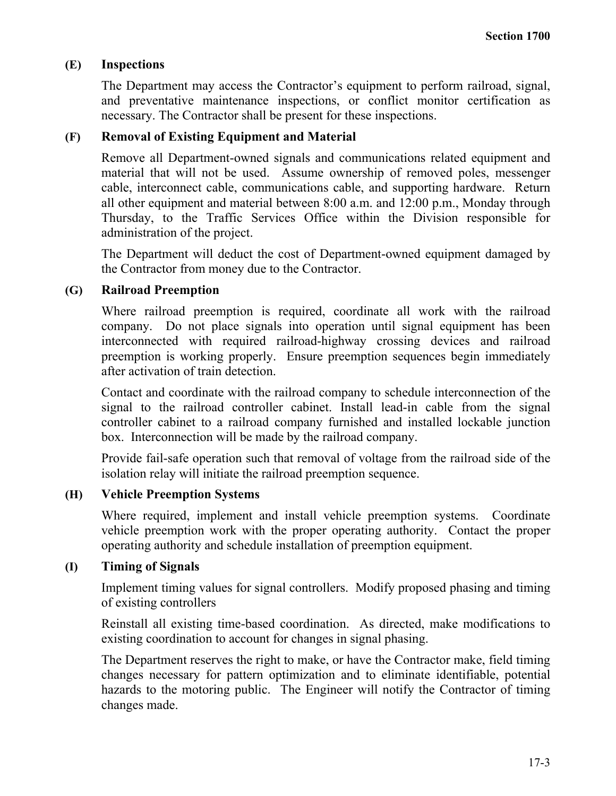### **(E) Inspections**

The Department may access the Contractor's equipment to perform railroad, signal, and preventative maintenance inspections, or conflict monitor certification as necessary. The Contractor shall be present for these inspections.

### **(F) Removal of Existing Equipment and Material**

Remove all Department-owned signals and communications related equipment and material that will not be used. Assume ownership of removed poles, messenger cable, interconnect cable, communications cable, and supporting hardware. Return all other equipment and material between 8:00 a.m. and 12:00 p.m., Monday through Thursday, to the Traffic Services Office within the Division responsible for administration of the project.

The Department will deduct the cost of Department-owned equipment damaged by the Contractor from money due to the Contractor.

### **(G) Railroad Preemption**

Where railroad preemption is required, coordinate all work with the railroad company. Do not place signals into operation until signal equipment has been interconnected with required railroad-highway crossing devices and railroad preemption is working properly. Ensure preemption sequences begin immediately after activation of train detection.

Contact and coordinate with the railroad company to schedule interconnection of the signal to the railroad controller cabinet. Install lead-in cable from the signal controller cabinet to a railroad company furnished and installed lockable junction box. Interconnection will be made by the railroad company.

Provide fail-safe operation such that removal of voltage from the railroad side of the isolation relay will initiate the railroad preemption sequence.

### **(H) Vehicle Preemption Systems**

Where required, implement and install vehicle preemption systems. Coordinate vehicle preemption work with the proper operating authority. Contact the proper operating authority and schedule installation of preemption equipment.

### **(I) Timing of Signals**

Implement timing values for signal controllers. Modify proposed phasing and timing of existing controllers

Reinstall all existing time-based coordination. As directed, make modifications to existing coordination to account for changes in signal phasing.

The Department reserves the right to make, or have the Contractor make, field timing changes necessary for pattern optimization and to eliminate identifiable, potential hazards to the motoring public. The Engineer will notify the Contractor of timing changes made.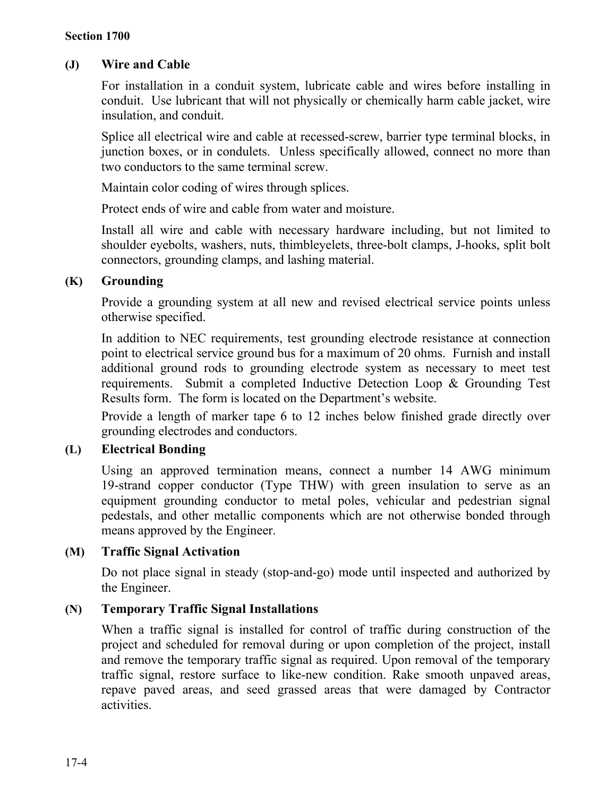### **(J) Wire and Cable**

For installation in a conduit system, lubricate cable and wires before installing in conduit. Use lubricant that will not physically or chemically harm cable jacket, wire insulation, and conduit.

Splice all electrical wire and cable at recessed-screw, barrier type terminal blocks, in junction boxes, or in condulets. Unless specifically allowed, connect no more than two conductors to the same terminal screw.

Maintain color coding of wires through splices.

Protect ends of wire and cable from water and moisture.

Install all wire and cable with necessary hardware including, but not limited to shoulder eyebolts, washers, nuts, thimbleyelets, three-bolt clamps, J-hooks, split bolt connectors, grounding clamps, and lashing material.

# **(K) Grounding**

Provide a grounding system at all new and revised electrical service points unless otherwise specified.

In addition to NEC requirements, test grounding electrode resistance at connection point to electrical service ground bus for a maximum of 20 ohms. Furnish and install additional ground rods to grounding electrode system as necessary to meet test requirements. Submit a completed Inductive Detection Loop & Grounding Test Results form. The form is located on the Department's website.

Provide a length of marker tape 6 to 12 inches below finished grade directly over grounding electrodes and conductors.

# **(L) Electrical Bonding**

Using an approved termination means, connect a number 14 AWG minimum 19-strand copper conductor (Type THW) with green insulation to serve as an equipment grounding conductor to metal poles, vehicular and pedestrian signal pedestals, and other metallic components which are not otherwise bonded through means approved by the Engineer.

# **(M) Traffic Signal Activation**

Do not place signal in steady (stop-and-go) mode until inspected and authorized by the Engineer.

# **(N) Temporary Traffic Signal Installations**

When a traffic signal is installed for control of traffic during construction of the project and scheduled for removal during or upon completion of the project, install and remove the temporary traffic signal as required. Upon removal of the temporary traffic signal, restore surface to like-new condition. Rake smooth unpaved areas, repave paved areas, and seed grassed areas that were damaged by Contractor activities.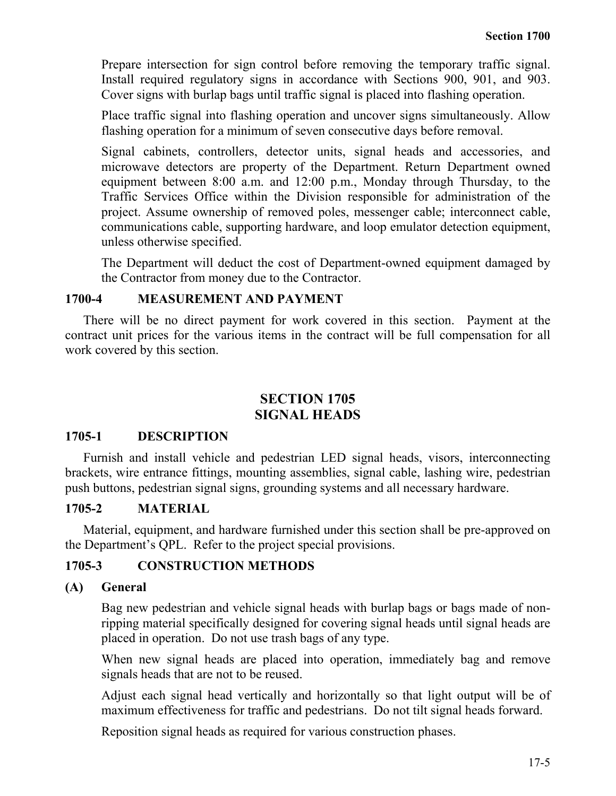Prepare intersection for sign control before removing the temporary traffic signal. Install required regulatory signs in accordance with Sections 900, 901, and 903. Cover signs with burlap bags until traffic signal is placed into flashing operation.

Place traffic signal into flashing operation and uncover signs simultaneously. Allow flashing operation for a minimum of seven consecutive days before removal.

Signal cabinets, controllers, detector units, signal heads and accessories, and microwave detectors are property of the Department. Return Department owned equipment between 8:00 a.m. and 12:00 p.m., Monday through Thursday, to the Traffic Services Office within the Division responsible for administration of the project. Assume ownership of removed poles, messenger cable; interconnect cable, communications cable, supporting hardware, and loop emulator detection equipment, unless otherwise specified.

The Department will deduct the cost of Department-owned equipment damaged by the Contractor from money due to the Contractor.

#### **1700-4 MEASUREMENT AND PAYMENT**

There will be no direct payment for work covered in this section. Payment at the contract unit prices for the various items in the contract will be full compensation for all work covered by this section.

# **SECTION 1705 SIGNAL HEADS**

#### **1705-1 DESCRIPTION**

Furnish and install vehicle and pedestrian LED signal heads, visors, interconnecting brackets, wire entrance fittings, mounting assemblies, signal cable, lashing wire, pedestrian push buttons, pedestrian signal signs, grounding systems and all necessary hardware.

### **1705-2 MATERIAL**

Material, equipment, and hardware furnished under this section shall be pre-approved on the Department's QPL. Refer to the project special provisions.

### **1705-3 CONSTRUCTION METHODS**

### **(A) General**

Bag new pedestrian and vehicle signal heads with burlap bags or bags made of nonripping material specifically designed for covering signal heads until signal heads are placed in operation. Do not use trash bags of any type.

When new signal heads are placed into operation, immediately bag and remove signals heads that are not to be reused.

Adjust each signal head vertically and horizontally so that light output will be of maximum effectiveness for traffic and pedestrians. Do not tilt signal heads forward.

Reposition signal heads as required for various construction phases.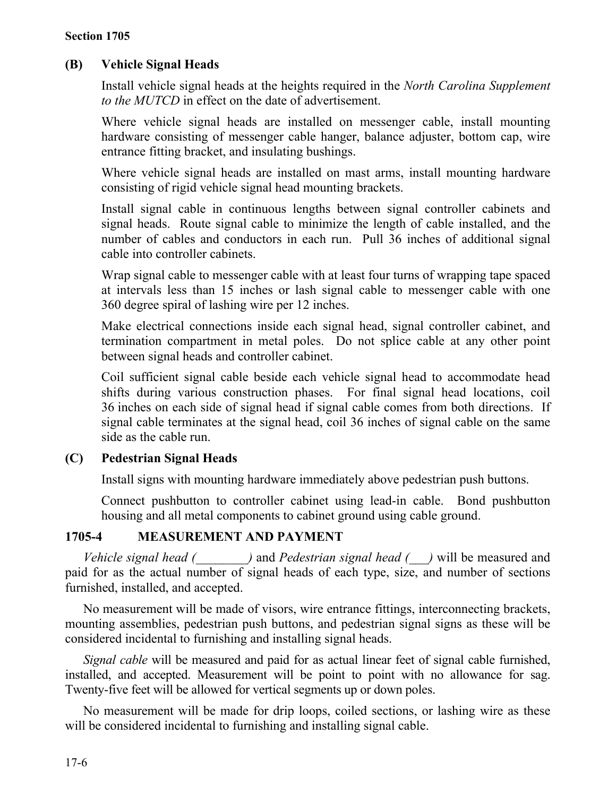# **(B) Vehicle Signal Heads**

Install vehicle signal heads at the heights required in the *North Carolina Supplement to the MUTCD* in effect on the date of advertisement.

Where vehicle signal heads are installed on messenger cable, install mounting hardware consisting of messenger cable hanger, balance adjuster, bottom cap, wire entrance fitting bracket, and insulating bushings.

Where vehicle signal heads are installed on mast arms, install mounting hardware consisting of rigid vehicle signal head mounting brackets.

Install signal cable in continuous lengths between signal controller cabinets and signal heads. Route signal cable to minimize the length of cable installed, and the number of cables and conductors in each run. Pull 36 inches of additional signal cable into controller cabinets.

Wrap signal cable to messenger cable with at least four turns of wrapping tape spaced at intervals less than 15 inches or lash signal cable to messenger cable with one 360 degree spiral of lashing wire per 12 inches.

Make electrical connections inside each signal head, signal controller cabinet, and termination compartment in metal poles. Do not splice cable at any other point between signal heads and controller cabinet.

Coil sufficient signal cable beside each vehicle signal head to accommodate head shifts during various construction phases. For final signal head locations, coil 36 inches on each side of signal head if signal cable comes from both directions. If signal cable terminates at the signal head, coil 36 inches of signal cable on the same side as the cable run.

### **(C) Pedestrian Signal Heads**

Install signs with mounting hardware immediately above pedestrian push buttons.

Connect pushbutton to controller cabinet using lead-in cable. Bond pushbutton housing and all metal components to cabinet ground using cable ground.

### **1705-4 MEASUREMENT AND PAYMENT**

*Vehicle signal head (\_\_\_\_\_\_\_\_)* and *Pedestrian signal head (\_\_\_)* will be measured and paid for as the actual number of signal heads of each type, size, and number of sections furnished, installed, and accepted.

No measurement will be made of visors, wire entrance fittings, interconnecting brackets, mounting assemblies, pedestrian push buttons, and pedestrian signal signs as these will be considered incidental to furnishing and installing signal heads.

*Signal cable* will be measured and paid for as actual linear feet of signal cable furnished, installed, and accepted. Measurement will be point to point with no allowance for sag. Twenty-five feet will be allowed for vertical segments up or down poles.

No measurement will be made for drip loops, coiled sections, or lashing wire as these will be considered incidental to furnishing and installing signal cable.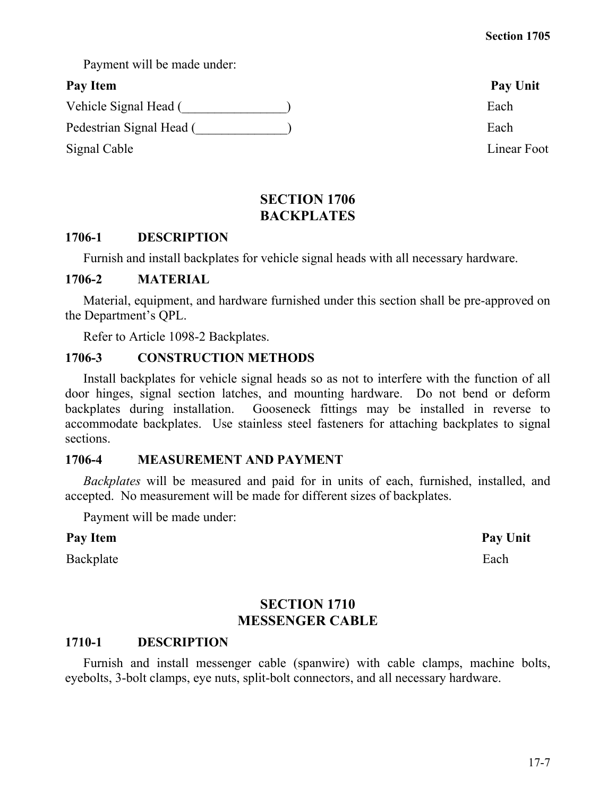17-7

Payment will be made under:

Vehicle Signal Head (\_\_\_\_\_\_\_\_\_\_\_\_\_\_\_) Each

Pedestrian Signal Head (  $\qquad \qquad$  ) Each

Signal Cable Linear Foot

# **SECTION 1706 BACKPLATES**

# **1706-1 DESCRIPTION**

Furnish and install backplates for vehicle signal heads with all necessary hardware.

### **1706-2 MATERIAL**

Material, equipment, and hardware furnished under this section shall be pre-approved on the Department's QPL.

Refer to Article 1098-2 Backplates.

# **1706-3 CONSTRUCTION METHODS**

Install backplates for vehicle signal heads so as not to interfere with the function of all door hinges, signal section latches, and mounting hardware. Do not bend or deform backplates during installation. Gooseneck fittings may be installed in reverse to accommodate backplates. Use stainless steel fasteners for attaching backplates to signal sections.

# **1706-4 MEASUREMENT AND PAYMENT**

*Backplates* will be measured and paid for in units of each, furnished, installed, and accepted. No measurement will be made for different sizes of backplates.

Payment will be made under:

# Pay Item **Pay Unit**

Backplate Each

# **SECTION 1710 MESSENGER CABLE**

# **1710-1 DESCRIPTION**

Furnish and install messenger cable (spanwire) with cable clamps, machine bolts, eyebolts, 3-bolt clamps, eye nuts, split-bolt connectors, and all necessary hardware.

Pay Item Pay Unit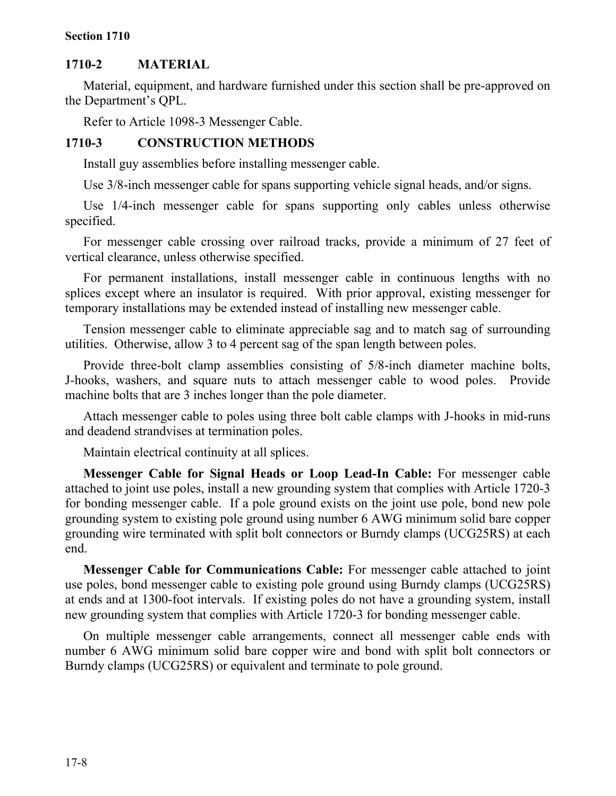#### **Section 1710**

#### **1710-2 MATERIAL**

Material, equipment, and hardware furnished under this section shall be pre-approved on the Department's QPL.

Refer to Article 1098-3 Messenger Cable.

#### **1710-3 CONSTRUCTION METHODS**

Install guy assemblies before installing messenger cable.

Use 3/8-inch messenger cable for spans supporting vehicle signal heads, and/or signs.

Use 1/4-inch messenger cable for spans supporting only cables unless otherwise specified.

For messenger cable crossing over railroad tracks, provide a minimum of 27 feet of vertical clearance, unless otherwise specified.

For permanent installations, install messenger cable in continuous lengths with no splices except where an insulator is required. With prior approval, existing messenger for temporary installations may be extended instead of installing new messenger cable.

Tension messenger cable to eliminate appreciable sag and to match sag of surrounding utilities. Otherwise, allow 3 to 4 percent sag of the span length between poles.

Provide three-bolt clamp assemblies consisting of 5/8-inch diameter machine bolts, J-hooks, washers, and square nuts to attach messenger cable to wood poles. Provide machine bolts that are 3 inches longer than the pole diameter.

Attach messenger cable to poles using three bolt cable clamps with J-hooks in mid-runs and deadend strandvises at termination poles.

Maintain electrical continuity at all splices.

**Messenger Cable for Signal Heads or Loop Lead-In Cable:** For messenger cable attached to joint use poles, install a new grounding system that complies with Article 1720-3 for bonding messenger cable. If a pole ground exists on the joint use pole, bond new pole grounding system to existing pole ground using number 6 AWG minimum solid bare copper grounding wire terminated with split bolt connectors or Burndy clamps (UCG25RS) at each end.

**Messenger Cable for Communications Cable:** For messenger cable attached to joint use poles, bond messenger cable to existing pole ground using Burndy clamps (UCG25RS) at ends and at 1300-foot intervals. If existing poles do not have a grounding system, install new grounding system that complies with Article 1720-3 for bonding messenger cable.

On multiple messenger cable arrangements, connect all messenger cable ends with number 6 AWG minimum solid bare copper wire and bond with split bolt connectors or Burndy clamps (UCG25RS) or equivalent and terminate to pole ground.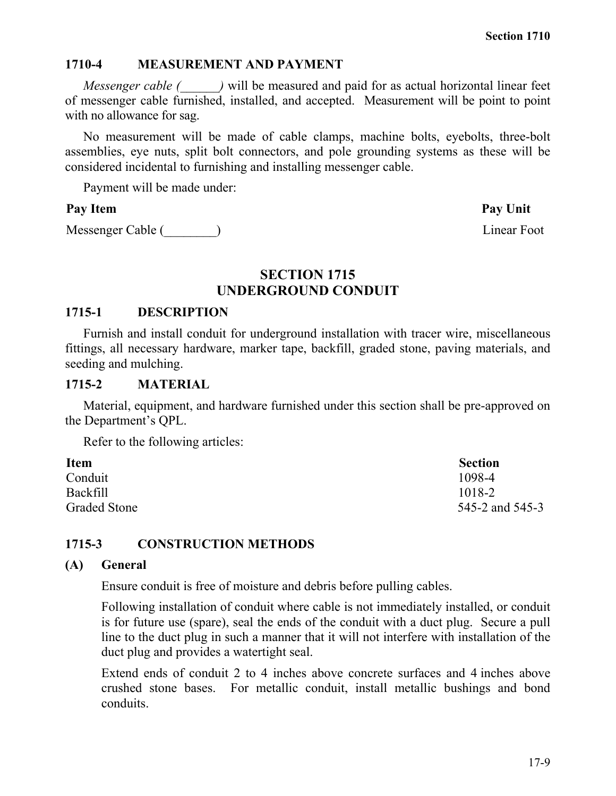#### **1710-4 MEASUREMENT AND PAYMENT**

*Messenger cable (*  $\rightarrow$  ) will be measured and paid for as actual horizontal linear feet of messenger cable furnished, installed, and accepted. Measurement will be point to point with no allowance for sag.

No measurement will be made of cable clamps, machine bolts, eyebolts, three-bolt assemblies, eye nuts, split bolt connectors, and pole grounding systems as these will be considered incidental to furnishing and installing messenger cable.

Payment will be made under:

### Pay Item **Pay Unit**

Messenger Cable (\_\_\_\_\_\_\_\_) Linear Foot

#### **SECTION 1715 UNDERGROUND CONDUIT**

#### **1715-1 DESCRIPTION**

Furnish and install conduit for underground installation with tracer wire, miscellaneous fittings, all necessary hardware, marker tape, backfill, graded stone, paving materials, and seeding and mulching.

#### **1715-2 MATERIAL**

Material, equipment, and hardware furnished under this section shall be pre-approved on the Department's QPL.

Refer to the following articles:

| <b>Item</b>         | <b>Section</b>  |
|---------------------|-----------------|
| Conduit             | 1098-4          |
| <b>Backfill</b>     | 1018-2          |
| <b>Graded Stone</b> | 545-2 and 545-3 |

### **1715-3 CONSTRUCTION METHODS**

#### **(A) General**

Ensure conduit is free of moisture and debris before pulling cables.

Following installation of conduit where cable is not immediately installed, or conduit is for future use (spare), seal the ends of the conduit with a duct plug. Secure a pull line to the duct plug in such a manner that it will not interfere with installation of the duct plug and provides a watertight seal.

Extend ends of conduit 2 to 4 inches above concrete surfaces and 4 inches above crushed stone bases. For metallic conduit, install metallic bushings and bond conduits.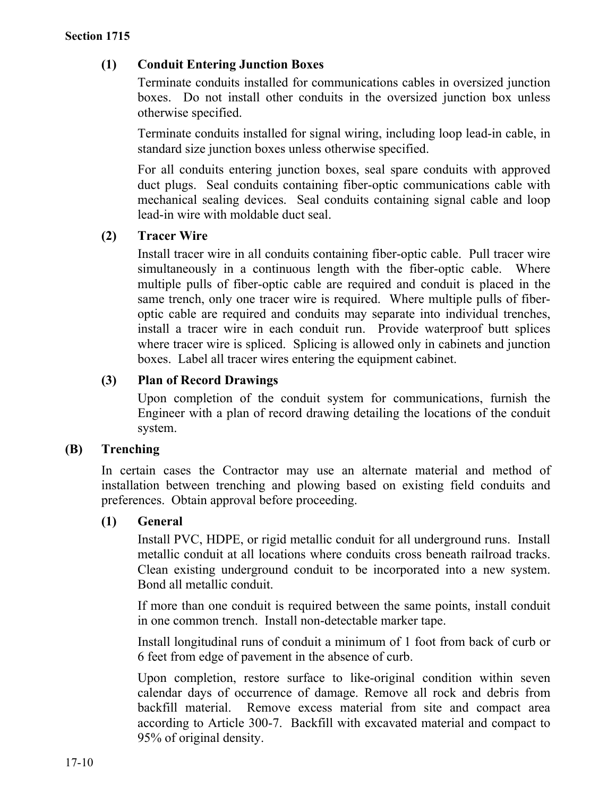# **(1) Conduit Entering Junction Boxes**

Terminate conduits installed for communications cables in oversized junction boxes. Do not install other conduits in the oversized junction box unless otherwise specified.

Terminate conduits installed for signal wiring, including loop lead-in cable, in standard size junction boxes unless otherwise specified.

For all conduits entering junction boxes, seal spare conduits with approved duct plugs. Seal conduits containing fiber-optic communications cable with mechanical sealing devices. Seal conduits containing signal cable and loop lead-in wire with moldable duct seal.

### **(2) Tracer Wire**

Install tracer wire in all conduits containing fiber-optic cable. Pull tracer wire simultaneously in a continuous length with the fiber-optic cable. Where multiple pulls of fiber-optic cable are required and conduit is placed in the same trench, only one tracer wire is required. Where multiple pulls of fiberoptic cable are required and conduits may separate into individual trenches, install a tracer wire in each conduit run. Provide waterproof butt splices where tracer wire is spliced. Splicing is allowed only in cabinets and junction boxes. Label all tracer wires entering the equipment cabinet.

# **(3) Plan of Record Drawings**

Upon completion of the conduit system for communications, furnish the Engineer with a plan of record drawing detailing the locations of the conduit system.

# **(B) Trenching**

In certain cases the Contractor may use an alternate material and method of installation between trenching and plowing based on existing field conduits and preferences. Obtain approval before proceeding.

### **(1) General**

Install PVC, HDPE, or rigid metallic conduit for all underground runs. Install metallic conduit at all locations where conduits cross beneath railroad tracks. Clean existing underground conduit to be incorporated into a new system. Bond all metallic conduit.

If more than one conduit is required between the same points, install conduit in one common trench. Install non-detectable marker tape.

Install longitudinal runs of conduit a minimum of 1 foot from back of curb or 6 feet from edge of pavement in the absence of curb.

Upon completion, restore surface to like-original condition within seven calendar days of occurrence of damage. Remove all rock and debris from backfill material. Remove excess material from site and compact area according to Article 300-7. Backfill with excavated material and compact to 95% of original density.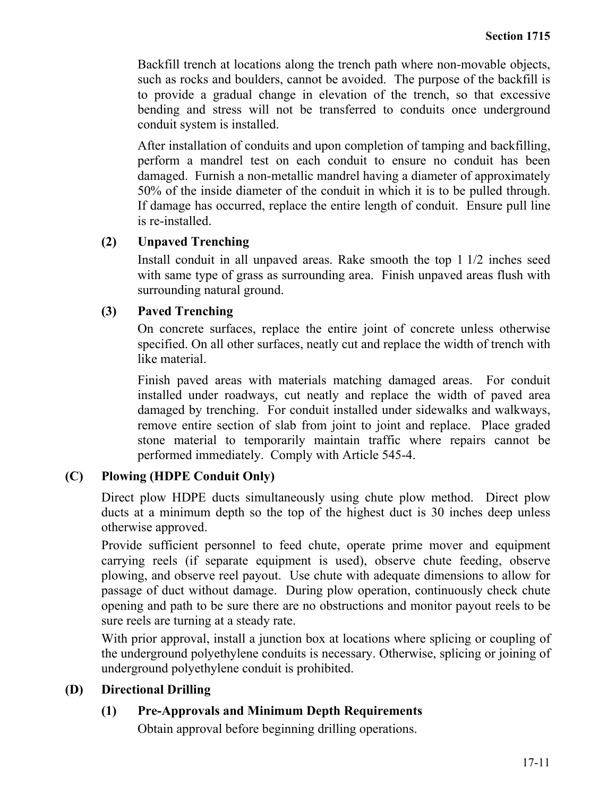Backfill trench at locations along the trench path where non-movable objects, such as rocks and boulders, cannot be avoided. The purpose of the backfill is to provide a gradual change in elevation of the trench, so that excessive bending and stress will not be transferred to conduits once underground conduit system is installed.

After installation of conduits and upon completion of tamping and backfilling, perform a mandrel test on each conduit to ensure no conduit has been damaged. Furnish a non-metallic mandrel having a diameter of approximately 50% of the inside diameter of the conduit in which it is to be pulled through. If damage has occurred, replace the entire length of conduit. Ensure pull line is re-installed.

### **(2) Unpaved Trenching**

Install conduit in all unpaved areas. Rake smooth the top 1 1/2 inches seed with same type of grass as surrounding area. Finish unpaved areas flush with surrounding natural ground.

### **(3) Paved Trenching**

On concrete surfaces, replace the entire joint of concrete unless otherwise specified. On all other surfaces, neatly cut and replace the width of trench with like material.

Finish paved areas with materials matching damaged areas. For conduit installed under roadways, cut neatly and replace the width of paved area damaged by trenching. For conduit installed under sidewalks and walkways, remove entire section of slab from joint to joint and replace. Place graded stone material to temporarily maintain traffic where repairs cannot be performed immediately. Comply with Article 545-4.

### **(C) Plowing (HDPE Conduit Only)**

Direct plow HDPE ducts simultaneously using chute plow method. Direct plow ducts at a minimum depth so the top of the highest duct is 30 inches deep unless otherwise approved.

Provide sufficient personnel to feed chute, operate prime mover and equipment carrying reels (if separate equipment is used), observe chute feeding, observe plowing, and observe reel payout. Use chute with adequate dimensions to allow for passage of duct without damage. During plow operation, continuously check chute opening and path to be sure there are no obstructions and monitor payout reels to be sure reels are turning at a steady rate.

With prior approval, install a junction box at locations where splicing or coupling of the underground polyethylene conduits is necessary. Otherwise, splicing or joining of underground polyethylene conduit is prohibited.

### **(D) Directional Drilling**

### **(1) Pre-Approvals and Minimum Depth Requirements**

Obtain approval before beginning drilling operations.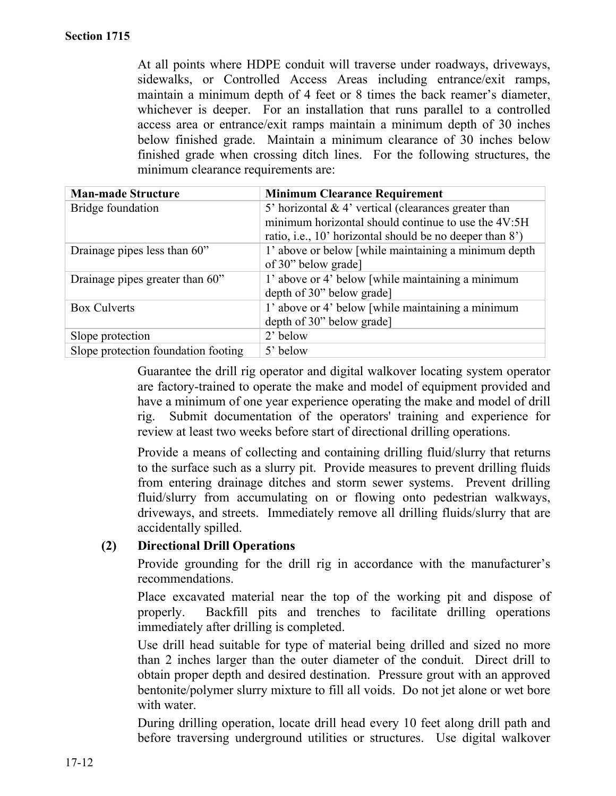At all points where HDPE conduit will traverse under roadways, driveways, sidewalks, or Controlled Access Areas including entrance/exit ramps, maintain a minimum depth of 4 feet or 8 times the back reamer's diameter, whichever is deeper. For an installation that runs parallel to a controlled access area or entrance/exit ramps maintain a minimum depth of 30 inches below finished grade. Maintain a minimum clearance of 30 inches below finished grade when crossing ditch lines. For the following structures, the minimum clearance requirements are:

| <b>Man-made Structure</b>           | <b>Minimum Clearance Requirement</b>                     |
|-------------------------------------|----------------------------------------------------------|
| Bridge foundation                   | 5' horizontal $& 4'$ vertical (clearances greater than   |
|                                     | minimum horizontal should continue to use the 4V:5H      |
|                                     | ratio, i.e., 10' horizontal should be no deeper than 8') |
| Drainage pipes less than 60"        | 1' above or below [while maintaining a minimum depth     |
|                                     | of 30" below grade]                                      |
| Drainage pipes greater than 60"     | 1' above or 4' below [while maintaining a minimum        |
|                                     | depth of 30" below grade]                                |
| <b>Box Culverts</b>                 | 1' above or 4' below [while maintaining a minimum        |
|                                     | depth of 30" below grade]                                |
| Slope protection                    | 2' below                                                 |
| Slope protection foundation footing | 5' below                                                 |

Guarantee the drill rig operator and digital walkover locating system operator are factory-trained to operate the make and model of equipment provided and have a minimum of one year experience operating the make and model of drill rig. Submit documentation of the operators' training and experience for review at least two weeks before start of directional drilling operations.

Provide a means of collecting and containing drilling fluid/slurry that returns to the surface such as a slurry pit. Provide measures to prevent drilling fluids from entering drainage ditches and storm sewer systems. Prevent drilling fluid/slurry from accumulating on or flowing onto pedestrian walkways, driveways, and streets. Immediately remove all drilling fluids/slurry that are accidentally spilled.

### **(2) Directional Drill Operations**

Provide grounding for the drill rig in accordance with the manufacturer's recommendations.

Place excavated material near the top of the working pit and dispose of properly. Backfill pits and trenches to facilitate drilling operations immediately after drilling is completed.

Use drill head suitable for type of material being drilled and sized no more than 2 inches larger than the outer diameter of the conduit. Direct drill to obtain proper depth and desired destination. Pressure grout with an approved bentonite/polymer slurry mixture to fill all voids. Do not jet alone or wet bore with water.

During drilling operation, locate drill head every 10 feet along drill path and before traversing underground utilities or structures. Use digital walkover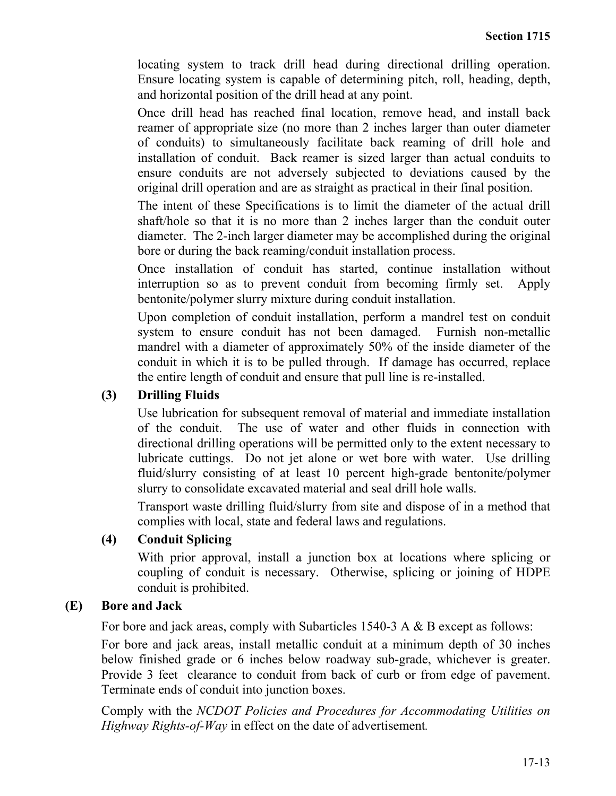locating system to track drill head during directional drilling operation. Ensure locating system is capable of determining pitch, roll, heading, depth, and horizontal position of the drill head at any point.

Once drill head has reached final location, remove head, and install back reamer of appropriate size (no more than 2 inches larger than outer diameter of conduits) to simultaneously facilitate back reaming of drill hole and installation of conduit. Back reamer is sized larger than actual conduits to ensure conduits are not adversely subjected to deviations caused by the original drill operation and are as straight as practical in their final position.

The intent of these Specifications is to limit the diameter of the actual drill shaft/hole so that it is no more than 2 inches larger than the conduit outer diameter. The 2-inch larger diameter may be accomplished during the original bore or during the back reaming/conduit installation process.

Once installation of conduit has started, continue installation without interruption so as to prevent conduit from becoming firmly set. Apply bentonite/polymer slurry mixture during conduit installation.

Upon completion of conduit installation, perform a mandrel test on conduit system to ensure conduit has not been damaged. Furnish non-metallic mandrel with a diameter of approximately 50% of the inside diameter of the conduit in which it is to be pulled through. If damage has occurred, replace the entire length of conduit and ensure that pull line is re-installed.

### **(3) Drilling Fluids**

Use lubrication for subsequent removal of material and immediate installation of the conduit. The use of water and other fluids in connection with directional drilling operations will be permitted only to the extent necessary to lubricate cuttings. Do not jet alone or wet bore with water. Use drilling fluid/slurry consisting of at least 10 percent high-grade bentonite/polymer slurry to consolidate excavated material and seal drill hole walls.

Transport waste drilling fluid/slurry from site and dispose of in a method that complies with local, state and federal laws and regulations.

#### **(4) Conduit Splicing**

With prior approval, install a junction box at locations where splicing or coupling of conduit is necessary. Otherwise, splicing or joining of HDPE conduit is prohibited.

### **(E) Bore and Jack**

For bore and jack areas, comply with Subarticles 1540-3 A & B except as follows:

For bore and jack areas, install metallic conduit at a minimum depth of 30 inches below finished grade or 6 inches below roadway sub-grade, whichever is greater. Provide 3 feet clearance to conduit from back of curb or from edge of pavement. Terminate ends of conduit into junction boxes.

Comply with the *NCDOT Policies and Procedures for Accommodating Utilities on Highway Rights-of-Way* in effect on the date of advertisement*.*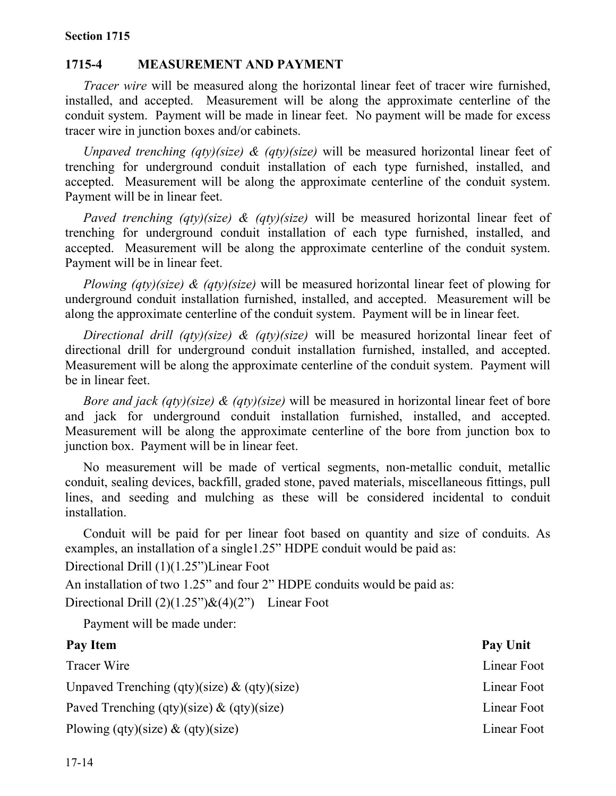### **1715-4 MEASUREMENT AND PAYMENT**

*Tracer wire* will be measured along the horizontal linear feet of tracer wire furnished, installed, and accepted. Measurement will be along the approximate centerline of the conduit system. Payment will be made in linear feet. No payment will be made for excess tracer wire in junction boxes and/or cabinets.

*Unpaved trenching (qty)(size) & (qty)(size)* will be measured horizontal linear feet of trenching for underground conduit installation of each type furnished, installed, and accepted. Measurement will be along the approximate centerline of the conduit system. Payment will be in linear feet.

*Paved trenching (qty)(size) & (qty)(size)* will be measured horizontal linear feet of trenching for underground conduit installation of each type furnished, installed, and accepted. Measurement will be along the approximate centerline of the conduit system. Payment will be in linear feet.

*Plowing (qty)(size) & (qty)(size)* will be measured horizontal linear feet of plowing for underground conduit installation furnished, installed, and accepted. Measurement will be along the approximate centerline of the conduit system. Payment will be in linear feet.

*Directional drill (qty)(size) & (qty)(size)* will be measured horizontal linear feet of directional drill for underground conduit installation furnished, installed, and accepted. Measurement will be along the approximate centerline of the conduit system. Payment will be in linear feet.

*Bore and jack (qty)(size) & (qty)(size)* will be measured in horizontal linear feet of bore and jack for underground conduit installation furnished, installed, and accepted. Measurement will be along the approximate centerline of the bore from junction box to junction box. Payment will be in linear feet.

No measurement will be made of vertical segments, non-metallic conduit, metallic conduit, sealing devices, backfill, graded stone, paved materials, miscellaneous fittings, pull lines, and seeding and mulching as these will be considered incidental to conduit installation.

Conduit will be paid for per linear foot based on quantity and size of conduits. As examples, an installation of a single1.25" HDPE conduit would be paid as:

Directional Drill (1)(1.25")Linear Foot

An installation of two 1.25" and four 2" HDPE conduits would be paid as:

Directional Drill  $(2)(1.25)$ <sup>"</sup> $\&$  (4)(2") Linear Foot

Payment will be made under:

| Pay Item                                       | Pay Unit    |
|------------------------------------------------|-------------|
| Tracer Wire                                    | Linear Foot |
| Unpaved Trenching (qty)(size) $\&$ (qty)(size) | Linear Foot |
| Paved Trenching (qty)(size) $\&$ (qty)(size)   | Linear Foot |
| Plowing (qty)(size) $\&$ (qty)(size)           | Linear Foot |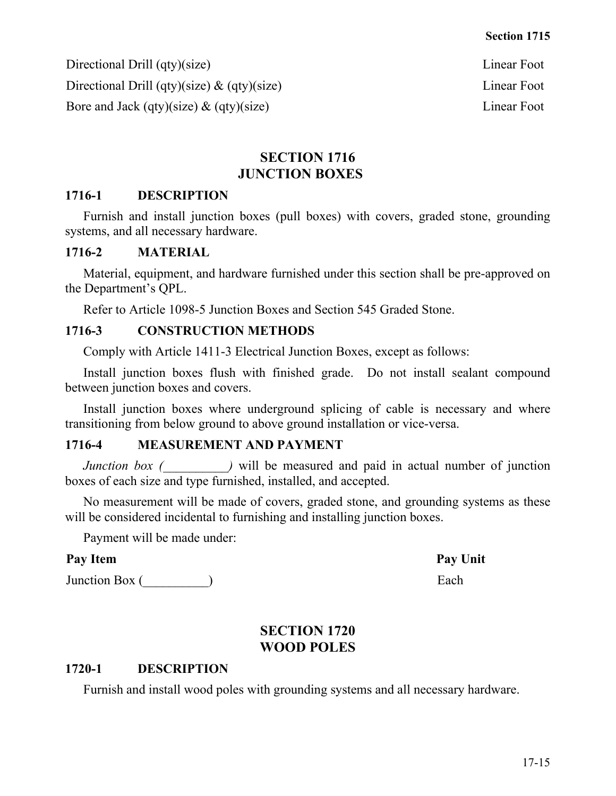Directional Drill (qty)(size) Linear Foot Directional Drill (qty)(size) & (qty)(size) Linear Foot Bore and Jack (qty)(size) & (qty)(size) Solution Linear Foot Linear Foot

# **SECTION 1716 JUNCTION BOXES**

# **1716-1 DESCRIPTION**

Furnish and install junction boxes (pull boxes) with covers, graded stone, grounding systems, and all necessary hardware.

# **1716-2 MATERIAL**

Material, equipment, and hardware furnished under this section shall be pre-approved on the Department's QPL.

Refer to Article 1098-5 Junction Boxes and Section 545 Graded Stone.

# **1716-3 CONSTRUCTION METHODS**

Comply with Article 1411-3 Electrical Junction Boxes, except as follows:

Install junction boxes flush with finished grade. Do not install sealant compound between junction boxes and covers.

Install junction boxes where underground splicing of cable is necessary and where transitioning from below ground to above ground installation or vice-versa.

# **1716-4 MEASUREMENT AND PAYMENT**

*Junction box (*  $\qquad$  *)* will be measured and paid in actual number of junction boxes of each size and type furnished, installed, and accepted.

No measurement will be made of covers, graded stone, and grounding systems as these will be considered incidental to furnishing and installing junction boxes.

Payment will be made under:

# Pay Item Pay Unit

Junction Box (  $\qquad \qquad$  )

# **SECTION 1720 WOOD POLES**

### **1720-1 DESCRIPTION**

Furnish and install wood poles with grounding systems and all necessary hardware.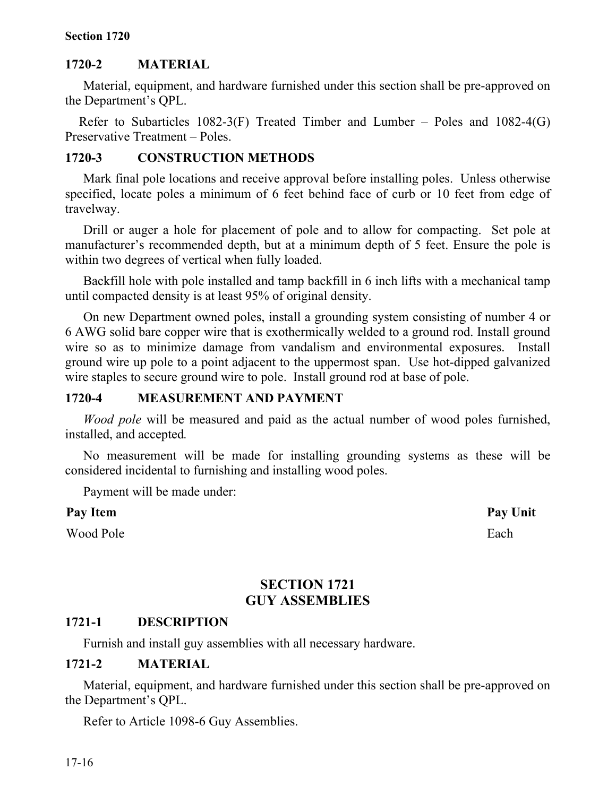#### **Section 1720**

#### **1720-2 MATERIAL**

Material, equipment, and hardware furnished under this section shall be pre-approved on the Department's QPL.

Refer to Subarticles 1082-3(F) Treated Timber and Lumber – Poles and 1082-4(G) Preservative Treatment – Poles.

#### **1720-3 CONSTRUCTION METHODS**

Mark final pole locations and receive approval before installing poles. Unless otherwise specified, locate poles a minimum of 6 feet behind face of curb or 10 feet from edge of travelway.

Drill or auger a hole for placement of pole and to allow for compacting. Set pole at manufacturer's recommended depth, but at a minimum depth of 5 feet. Ensure the pole is within two degrees of vertical when fully loaded.

Backfill hole with pole installed and tamp backfill in 6 inch lifts with a mechanical tamp until compacted density is at least 95% of original density.

On new Department owned poles, install a grounding system consisting of number 4 or 6 AWG solid bare copper wire that is exothermically welded to a ground rod. Install ground wire so as to minimize damage from vandalism and environmental exposures. Install ground wire up pole to a point adjacent to the uppermost span. Use hot-dipped galvanized wire staples to secure ground wire to pole. Install ground rod at base of pole.

#### **1720-4 MEASUREMENT AND PAYMENT**

*Wood pole* will be measured and paid as the actual number of wood poles furnished, installed, and accepted*.*

No measurement will be made for installing grounding systems as these will be considered incidental to furnishing and installing wood poles.

Payment will be made under:

#### **Pay Item Pay Unit**

Wood Pole Each

# **SECTION 1721 GUY ASSEMBLIES**

### **1721-1 DESCRIPTION**

Furnish and install guy assemblies with all necessary hardware.

#### **1721-2 MATERIAL**

Material, equipment, and hardware furnished under this section shall be pre-approved on the Department's QPL.

Refer to Article 1098-6 Guy Assemblies.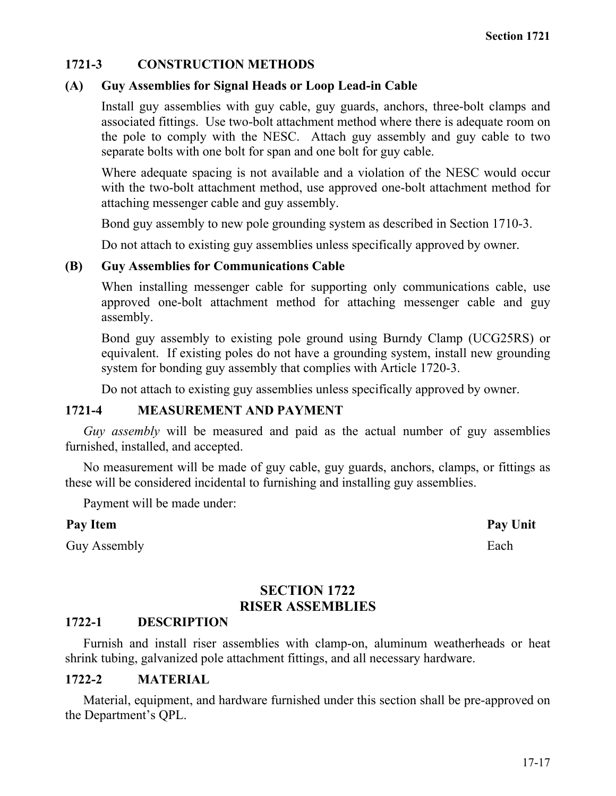### **1721-3 CONSTRUCTION METHODS**

#### **(A) Guy Assemblies for Signal Heads or Loop Lead-in Cable**

Install guy assemblies with guy cable, guy guards, anchors, three-bolt clamps and associated fittings. Use two-bolt attachment method where there is adequate room on the pole to comply with the NESC. Attach guy assembly and guy cable to two separate bolts with one bolt for span and one bolt for guy cable.

Where adequate spacing is not available and a violation of the NESC would occur with the two-bolt attachment method, use approved one-bolt attachment method for attaching messenger cable and guy assembly.

Bond guy assembly to new pole grounding system as described in Section 1710-3.

Do not attach to existing guy assemblies unless specifically approved by owner.

#### **(B) Guy Assemblies for Communications Cable**

When installing messenger cable for supporting only communications cable, use approved one-bolt attachment method for attaching messenger cable and guy assembly.

Bond guy assembly to existing pole ground using Burndy Clamp (UCG25RS) or equivalent. If existing poles do not have a grounding system, install new grounding system for bonding guy assembly that complies with Article 1720-3.

Do not attach to existing guy assemblies unless specifically approved by owner.

#### **1721-4 MEASUREMENT AND PAYMENT**

*Guy assembly* will be measured and paid as the actual number of guy assemblies furnished, installed, and accepted.

No measurement will be made of guy cable, guy guards, anchors, clamps, or fittings as these will be considered incidental to furnishing and installing guy assemblies.

Payment will be made under:

#### **Pay Item Pay Unit**

Guy Assembly Each

### **SECTION 1722 RISER ASSEMBLIES**

#### **1722-1 DESCRIPTION**

Furnish and install riser assemblies with clamp-on, aluminum weatherheads or heat shrink tubing, galvanized pole attachment fittings, and all necessary hardware.

#### **1722-2 MATERIAL**

Material, equipment, and hardware furnished under this section shall be pre-approved on the Department's QPL.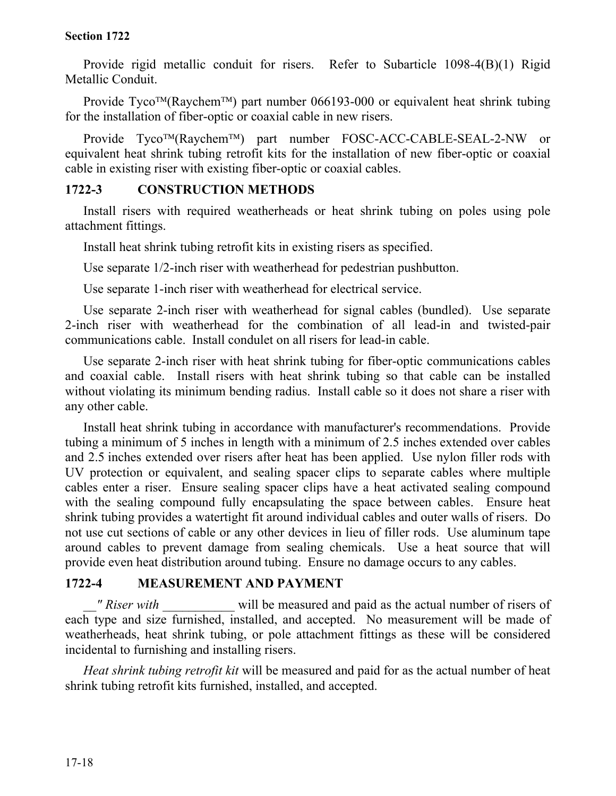#### **Section 1722**

Provide rigid metallic conduit for risers. Refer to Subarticle 1098-4(B)(1) Rigid Metallic Conduit.

Provide Tyco<sup>TM</sup>(Raychem<sup>TM</sup>) part number 066193-000 or equivalent heat shrink tubing for the installation of fiber-optic or coaxial cable in new risers.

Provide Tyco™(Raychem™) part number FOSC-ACC-CABLE-SEAL-2-NW or equivalent heat shrink tubing retrofit kits for the installation of new fiber-optic or coaxial cable in existing riser with existing fiber-optic or coaxial cables.

### **1722-3 CONSTRUCTION METHODS**

Install risers with required weatherheads or heat shrink tubing on poles using pole attachment fittings.

Install heat shrink tubing retrofit kits in existing risers as specified.

Use separate 1/2-inch riser with weatherhead for pedestrian pushbutton.

Use separate 1-inch riser with weatherhead for electrical service.

Use separate 2-inch riser with weatherhead for signal cables (bundled). Use separate 2-inch riser with weatherhead for the combination of all lead-in and twisted-pair communications cable. Install condulet on all risers for lead-in cable.

Use separate 2-inch riser with heat shrink tubing for fiber-optic communications cables and coaxial cable. Install risers with heat shrink tubing so that cable can be installed without violating its minimum bending radius. Install cable so it does not share a riser with any other cable.

Install heat shrink tubing in accordance with manufacturer's recommendations. Provide tubing a minimum of 5 inches in length with a minimum of 2.5 inches extended over cables and 2.5 inches extended over risers after heat has been applied. Use nylon filler rods with UV protection or equivalent, and sealing spacer clips to separate cables where multiple cables enter a riser. Ensure sealing spacer clips have a heat activated sealing compound with the sealing compound fully encapsulating the space between cables. Ensure heat shrink tubing provides a watertight fit around individual cables and outer walls of risers. Do not use cut sections of cable or any other devices in lieu of filler rods. Use aluminum tape around cables to prevent damage from sealing chemicals. Use a heat source that will provide even heat distribution around tubing. Ensure no damage occurs to any cables.

### **1722-4 MEASUREMENT AND PAYMENT**

*" Riser with* will be measured and paid as the actual number of risers of each type and size furnished, installed, and accepted. No measurement will be made of weatherheads, heat shrink tubing, or pole attachment fittings as these will be considered incidental to furnishing and installing risers.

*Heat shrink tubing retrofit kit* will be measured and paid for as the actual number of heat shrink tubing retrofit kits furnished, installed, and accepted.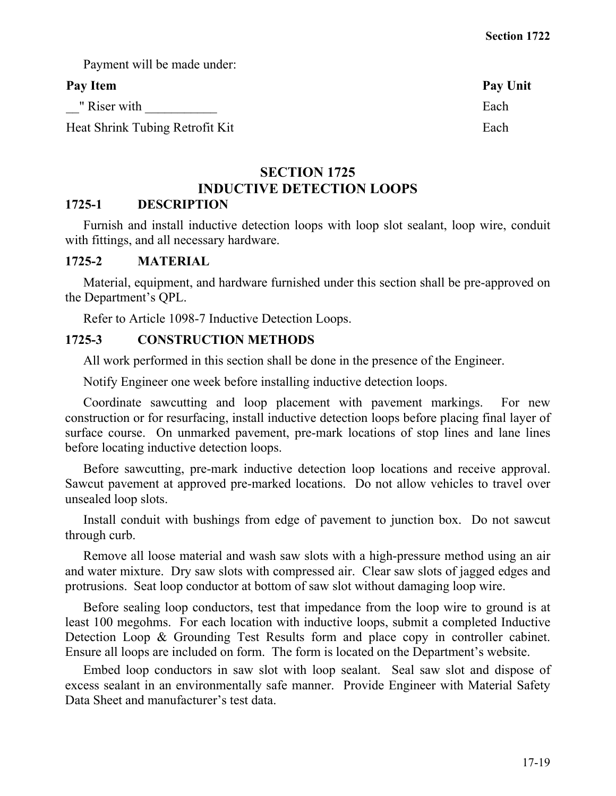Payment will be made under:

### Pay Item Pay Unit

\_\_" Riser with \_\_\_\_\_\_\_\_\_\_\_ Each

Heat Shrink Tubing Retrofit Kit Each

# **SECTION 1725 INDUCTIVE DETECTION LOOPS**

### **1725-1 DESCRIPTION**

Furnish and install inductive detection loops with loop slot sealant, loop wire, conduit with fittings, and all necessary hardware.

# **1725-2 MATERIAL**

Material, equipment, and hardware furnished under this section shall be pre-approved on the Department's QPL.

Refer to Article 1098-7 Inductive Detection Loops.

# **1725-3 CONSTRUCTION METHODS**

All work performed in this section shall be done in the presence of the Engineer.

Notify Engineer one week before installing inductive detection loops.

Coordinate sawcutting and loop placement with pavement markings. For new construction or for resurfacing, install inductive detection loops before placing final layer of surface course. On unmarked pavement, pre-mark locations of stop lines and lane lines before locating inductive detection loops.

Before sawcutting, pre-mark inductive detection loop locations and receive approval. Sawcut pavement at approved pre-marked locations. Do not allow vehicles to travel over unsealed loop slots.

Install conduit with bushings from edge of pavement to junction box. Do not sawcut through curb.

Remove all loose material and wash saw slots with a high-pressure method using an air and water mixture. Dry saw slots with compressed air. Clear saw slots of jagged edges and protrusions. Seat loop conductor at bottom of saw slot without damaging loop wire.

Before sealing loop conductors, test that impedance from the loop wire to ground is at least 100 megohms. For each location with inductive loops, submit a completed Inductive Detection Loop & Grounding Test Results form and place copy in controller cabinet. Ensure all loops are included on form. The form is located on the Department's website.

[Em](http://www.doh.dot.state.nc.us/preconstruct/traffic/itssu/ws/default.htm)bed loop conductors in saw slot with loop sealant. Seal saw slot and dispose of excess sealant in an environmentally safe manner. Provide Engineer with Material Safety Data Sheet and manufacturer's test data.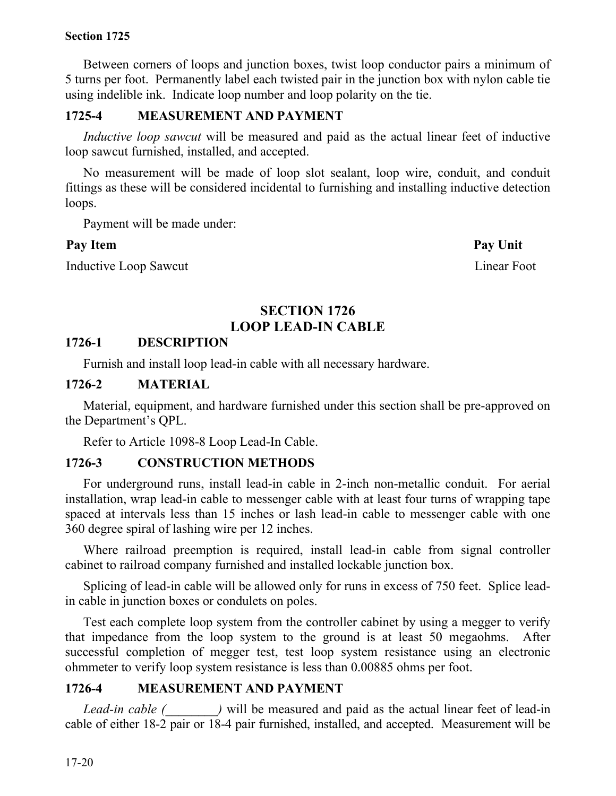#### **Section 1725**

Between corners of loops and junction boxes, twist loop conductor pairs a minimum of 5 turns per foot. Permanently label each twisted pair in the junction box with nylon cable tie using indelible ink. Indicate loop number and loop polarity on the tie.

# **1725-4 MEASUREMENT AND PAYMENT**

*Inductive loop sawcut* will be measured and paid as the actual linear feet of inductive loop sawcut furnished, installed, and accepted.

No measurement will be made of loop slot sealant, loop wire, conduit, and conduit fittings as these will be considered incidental to furnishing and installing inductive detection loops.

Payment will be made under:

### Pay Item **Pay Unit**

Inductive Loop Sawcut Linear Foot Linear Foot

# **SECTION 1726 LOOP LEAD-IN CABLE**

### **1726-1 DESCRIPTION**

Furnish and install loop lead-in cable with all necessary hardware.

### **1726-2 MATERIAL**

Material, equipment, and hardware furnished under this section shall be pre-approved on the Department's QPL.

Refer to Article 1098-8 Loop Lead-In Cable.

# **1726-3 CONSTRUCTION METHODS**

For underground runs, install lead-in cable in 2-inch non-metallic conduit. For aerial installation, wrap lead-in cable to messenger cable with at least four turns of wrapping tape spaced at intervals less than 15 inches or lash lead-in cable to messenger cable with one 360 degree spiral of lashing wire per 12 inches.

Where railroad preemption is required, install lead-in cable from signal controller cabinet to railroad company furnished and installed lockable junction box.

Splicing of lead-in cable will be allowed only for runs in excess of 750 feet. Splice leadin cable in junction boxes or condulets on poles.

Test each complete loop system from the controller cabinet by using a megger to verify that impedance from the loop system to the ground is at least 50 megaohms. After successful completion of megger test, test loop system resistance using an electronic ohmmeter to verify loop system resistance is less than 0.00885 ohms per foot.

# **1726-4 MEASUREMENT AND PAYMENT**

*Lead-in cable (*  $\blacksquare$ ) will be measured and paid as the actual linear feet of lead-in cable of either 18-2 pair or 18-4 pair furnished, installed, and accepted. Measurement will be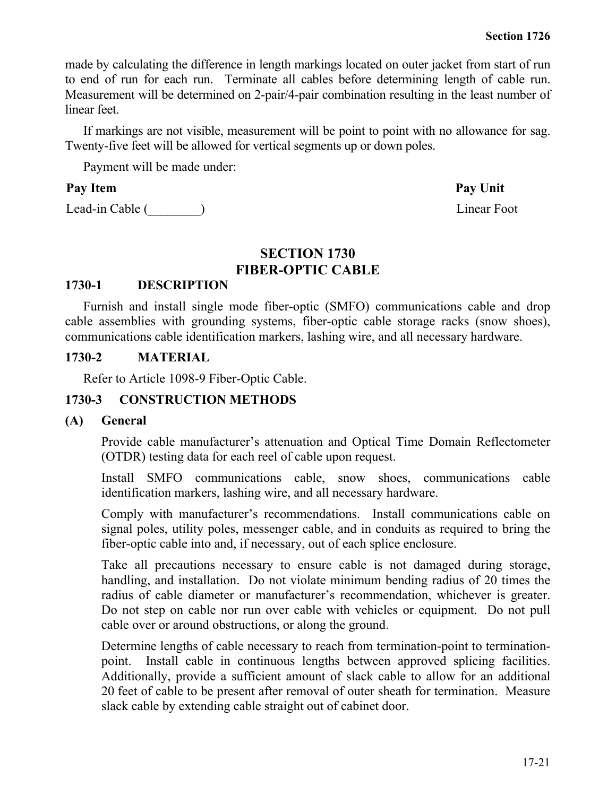made by calculating the difference in length markings located on outer jacket from start of run to end of run for each run. Terminate all cables before determining length of cable run. Measurement will be determined on 2-pair/4-pair combination resulting in the least number of linear feet.

If markings are not visible, measurement will be point to point with no allowance for sag. Twenty-five feet will be allowed for vertical segments up or down poles.

Payment will be made under:

#### Pay Item Pay Unit

Lead-in Cable (\_\_\_\_\_\_\_\_) Linear Foot

#### **SECTION 1730 FIBER-OPTIC CABLE**

#### **1730-1 DESCRIPTION**

Furnish and install single mode fiber-optic (SMFO) communications cable and drop cable assemblies with grounding systems, fiber-optic cable storage racks (snow shoes), communications cable identification markers, lashing wire, and all necessary hardware.

#### **1730-2 MATERIAL**

Refer to Article 1098-9 Fiber-Optic Cable.

#### **1730-3 CONSTRUCTION METHODS**

#### **(A) General**

Provide cable manufacturer's attenuation and Optical Time Domain Reflectometer (OTDR) testing data for each reel of cable upon request.

Install SMFO communications cable, snow shoes, communications cable identification markers, lashing wire, and all necessary hardware.

Comply with manufacturer's recommendations. Install communications cable on signal poles, utility poles, messenger cable, and in conduits as required to bring the fiber-optic cable into and, if necessary, out of each splice enclosure.

Take all precautions necessary to ensure cable is not damaged during storage, handling, and installation. Do not violate minimum bending radius of 20 times the radius of cable diameter or manufacturer's recommendation, whichever is greater. Do not step on cable nor run over cable with vehicles or equipment. Do not pull cable over or around obstructions, or along the ground.

Determine lengths of cable necessary to reach from termination-point to terminationpoint. Install cable in continuous lengths between approved splicing facilities. Additionally, provide a sufficient amount of slack cable to allow for an additional 20 feet of cable to be present after removal of outer sheath for termination. Measure slack cable by extending cable straight out of cabinet door.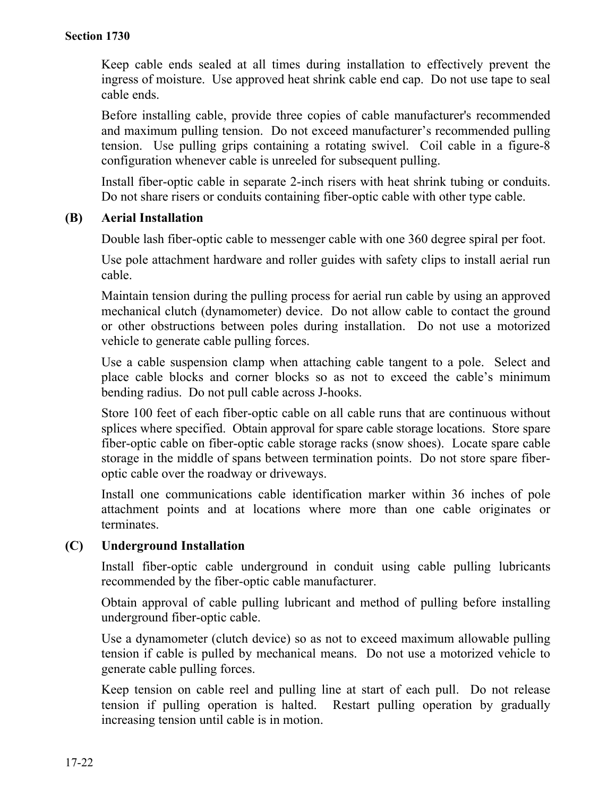Keep cable ends sealed at all times during installation to effectively prevent the ingress of moisture. Use approved heat shrink cable end cap. Do not use tape to seal cable ends.

Before installing cable, provide three copies of cable manufacturer's recommended and maximum pulling tension. Do not exceed manufacturer's recommended pulling tension. Use pulling grips containing a rotating swivel. Coil cable in a figure-8 configuration whenever cable is unreeled for subsequent pulling.

Install fiber-optic cable in separate 2-inch risers with heat shrink tubing or conduits. Do not share risers or conduits containing fiber-optic cable with other type cable.

#### **(B) Aerial Installation**

Double lash fiber-optic cable to messenger cable with one 360 degree spiral per foot.

Use pole attachment hardware and roller guides with safety clips to install aerial run cable.

Maintain tension during the pulling process for aerial run cable by using an approved mechanical clutch (dynamometer) device. Do not allow cable to contact the ground or other obstructions between poles during installation. Do not use a motorized vehicle to generate cable pulling forces.

Use a cable suspension clamp when attaching cable tangent to a pole. Select and place cable blocks and corner blocks so as not to exceed the cable's minimum bending radius. Do not pull cable across J-hooks.

Store 100 feet of each fiber-optic cable on all cable runs that are continuous without splices where specified. Obtain approval for spare cable storage locations. Store spare fiber-optic cable on fiber-optic cable storage racks (snow shoes). Locate spare cable storage in the middle of spans between termination points. Do not store spare fiberoptic cable over the roadway or driveways.

Install one communications cable identification marker within 36 inches of pole attachment points and at locations where more than one cable originates or terminates.

### **(C) Underground Installation**

Install fiber-optic cable underground in conduit using cable pulling lubricants recommended by the fiber-optic cable manufacturer.

Obtain approval of cable pulling lubricant and method of pulling before installing underground fiber-optic cable.

Use a dynamometer (clutch device) so as not to exceed maximum allowable pulling tension if cable is pulled by mechanical means. Do not use a motorized vehicle to generate cable pulling forces.

Keep tension on cable reel and pulling line at start of each pull. Do not release tension if pulling operation is halted. Restart pulling operation by gradually increasing tension until cable is in motion.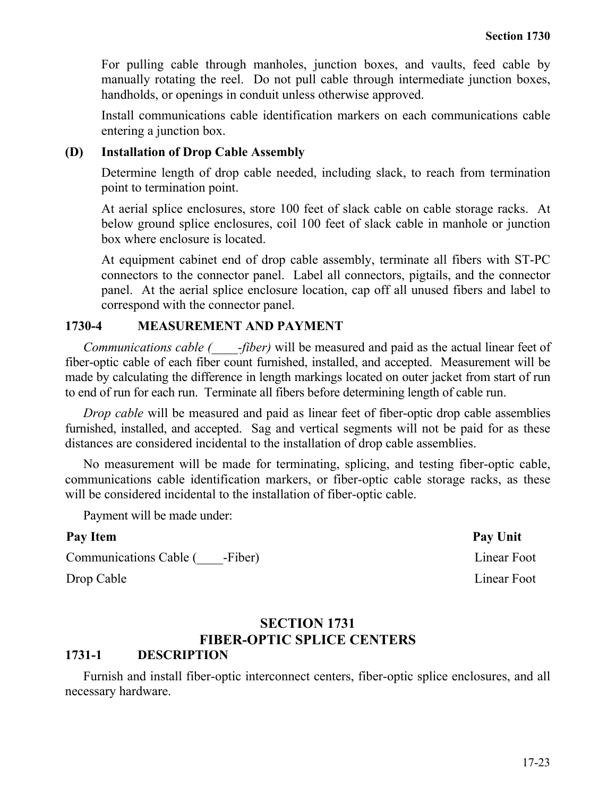For pulling cable through manholes, junction boxes, and vaults, feed cable by manually rotating the reel. Do not pull cable through intermediate junction boxes, handholds, or openings in conduit unless otherwise approved.

Install communications cable identification markers on each communications cable entering a junction box.

#### **(D) Installation of Drop Cable Assembly**

Determine length of drop cable needed, including slack, to reach from termination point to termination point.

At aerial splice enclosures, store 100 feet of slack cable on cable storage racks. At below ground splice enclosures, coil 100 feet of slack cable in manhole or junction box where enclosure is located.

At equipment cabinet end of drop cable assembly, terminate all fibers with ST-PC connectors to the connector panel. Label all connectors, pigtails, and the connector panel. At the aerial splice enclosure location, cap off all unused fibers and label to correspond with the connector panel.

#### **1730-4 MEASUREMENT AND PAYMENT**

*Communications cable (\_\_\_\_-fiber)* will be measured and paid as the actual linear feet of fiber-optic cable of each fiber count furnished, installed, and accepted. Measurement will be made by calculating the difference in length markings located on outer jacket from start of run to end of run for each run. Terminate all fibers before determining length of cable run.

*Drop cable* will be measured and paid as linear feet of fiber-optic drop cable assemblies furnished, installed, and accepted. Sag and vertical segments will not be paid for as these distances are considered incidental to the installation of drop cable assemblies.

No measurement will be made for terminating, splicing, and testing fiber-optic cable, communications cable identification markers, or fiber-optic cable storage racks, as these will be considered incidental to the installation of fiber-optic cable.

Payment will be made under:

| Pay Item                     | Pay Unit    |
|------------------------------|-------------|
| Communications Cable (Fiber) | Linear Foot |
| Drop Cable                   | Linear Foot |

# **SECTION 1731 FIBER-OPTIC SPLICE CENTERS**

# **1731-1 DESCRIPTION**

Furnish and install fiber-optic interconnect centers, fiber-optic splice enclosures, and all necessary hardware.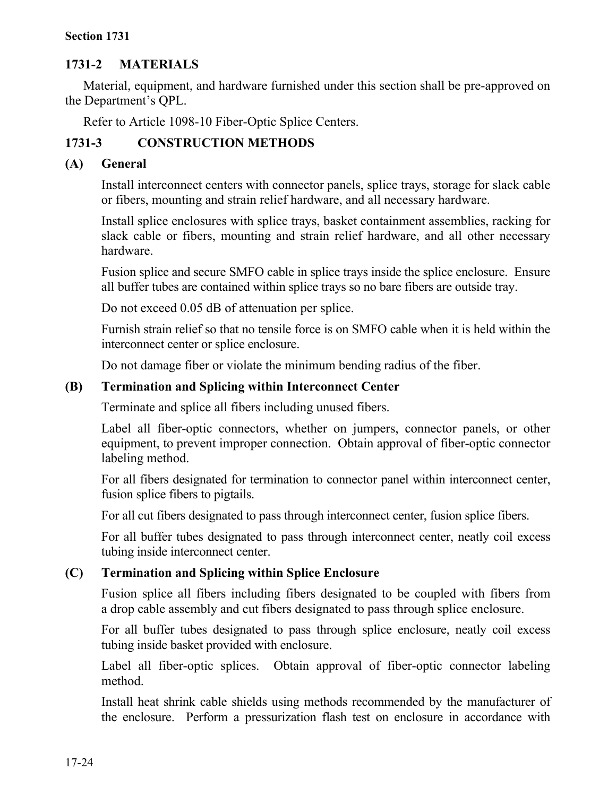#### **Section 1731**

# **1731-2 MATERIALS**

Material, equipment, and hardware furnished under this section shall be pre-approved on the Department's QPL.

Refer to Article 1098-10 Fiber-Optic Splice Centers.

# **1731-3 CONSTRUCTION METHODS**

### **(A) General**

Install interconnect centers with connector panels, splice trays, storage for slack cable or fibers, mounting and strain relief hardware, and all necessary hardware.

Install splice enclosures with splice trays, basket containment assemblies, racking for slack cable or fibers, mounting and strain relief hardware, and all other necessary hardware.

Fusion splice and secure SMFO cable in splice trays inside the splice enclosure. Ensure all buffer tubes are contained within splice trays so no bare fibers are outside tray.

Do not exceed 0.05 dB of attenuation per splice.

Furnish strain relief so that no tensile force is on SMFO cable when it is held within the interconnect center or splice enclosure.

Do not damage fiber or violate the minimum bending radius of the fiber.

# **(B) Termination and Splicing within Interconnect Center**

Terminate and splice all fibers including unused fibers.

Label all fiber-optic connectors, whether on jumpers, connector panels, or other equipment, to prevent improper connection. Obtain approval of fiber-optic connector labeling method.

For all fibers designated for termination to connector panel within interconnect center, fusion splice fibers to pigtails.

For all cut fibers designated to pass through interconnect center, fusion splice fibers.

For all buffer tubes designated to pass through interconnect center, neatly coil excess tubing inside interconnect center.

### **(C) Termination and Splicing within Splice Enclosure**

Fusion splice all fibers including fibers designated to be coupled with fibers from a drop cable assembly and cut fibers designated to pass through splice enclosure.

For all buffer tubes designated to pass through splice enclosure, neatly coil excess tubing inside basket provided with enclosure.

Label all fiber-optic splices. Obtain approval of fiber-optic connector labeling method.

Install heat shrink cable shields using methods recommended by the manufacturer of the enclosure. Perform a pressurization flash test on enclosure in accordance with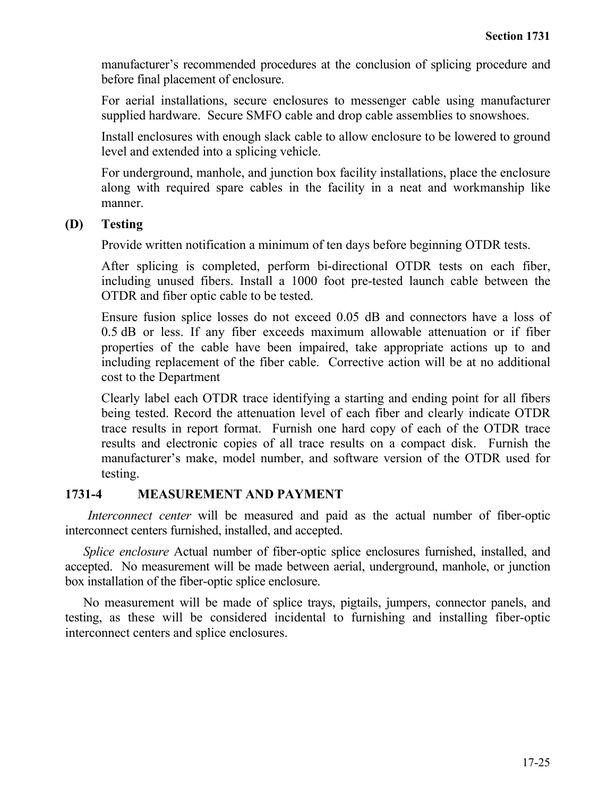manufacturer's recommended procedures at the conclusion of splicing procedure and before final placement of enclosure.

For aerial installations, secure enclosures to messenger cable using manufacturer supplied hardware. Secure SMFO cable and drop cable assemblies to snowshoes.

Install enclosures with enough slack cable to allow enclosure to be lowered to ground level and extended into a splicing vehicle.

For underground, manhole, and junction box facility installations, place the enclosure along with required spare cables in the facility in a neat and workmanship like manner.

#### **(D) Testing**

Provide written notification a minimum of ten days before beginning OTDR tests.

After splicing is completed, perform bi-directional OTDR tests on each fiber, including unused fibers. Install a 1000 foot pre-tested launch cable between the OTDR and fiber optic cable to be tested.

Ensure fusion splice losses do not exceed 0.05 dB and connectors have a loss of 0.5 dB or less. If any fiber exceeds maximum allowable attenuation or if fiber properties of the cable have been impaired, take appropriate actions up to and including replacement of the fiber cable. Corrective action will be at no additional cost to the Department

Clearly label each OTDR trace identifying a starting and ending point for all fibers being tested. Record the attenuation level of each fiber and clearly indicate OTDR trace results in report format. Furnish one hard copy of each of the OTDR trace results and electronic copies of all trace results on a compact disk. Furnish the manufacturer's make, model number, and software version of the OTDR used for testing.

### **1731-4 MEASUREMENT AND PAYMENT**

*Interconnect center* will be measured and paid as the actual number of fiber-optic interconnect centers furnished, installed, and accepted.

*Splice enclosure* Actual number of fiber-optic splice enclosures furnished, installed, and accepted. No measurement will be made between aerial, underground, manhole, or junction box installation of the fiber-optic splice enclosure.

No measurement will be made of splice trays, pigtails, jumpers, connector panels, and testing, as these will be considered incidental to furnishing and installing fiber-optic interconnect centers and splice enclosures.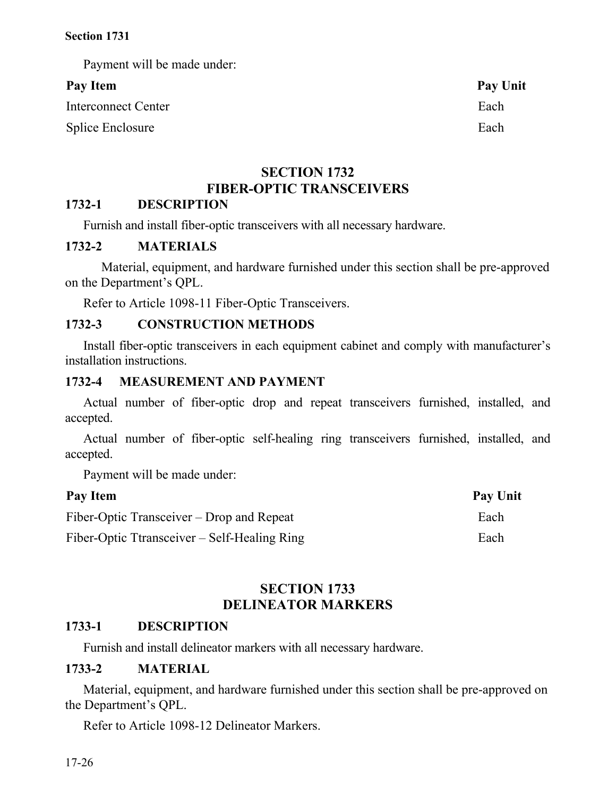Payment will be made under:

# Pay Item Pay Unit

Interconnect Center **Each** 

Splice Enclosure Each

# **SECTION 1732 FIBER-OPTIC TRANSCEIVERS**

# **1732-1 DESCRIPTION**

Furnish and install fiber-optic transceivers with all necessary hardware.

### **1732-2 MATERIALS**

Material, equipment, and hardware furnished under this section shall be pre-approved on the Department's QPL.

Refer to Article 1098-11 Fiber-Optic Transceivers.

# **1732-3 CONSTRUCTION METHODS**

Install fiber-optic transceivers in each equipment cabinet and comply with manufacturer's installation instructions.

# **1732-4 MEASUREMENT AND PAYMENT**

Actual number of fiber-optic drop and repeat transceivers furnished, installed, and accepted.

Actual number of fiber-optic self-healing ring transceivers furnished, installed, and accepted.

Payment will be made under:

| Pay Item                                     | Pay Unit |
|----------------------------------------------|----------|
| Fiber-Optic Transceiver – Drop and Repeat    | Each     |
| Fiber-Optic Ttransceiver – Self-Healing Ring | Each     |

## **SECTION 1733 DELINEATOR MARKERS**

### **1733-1 DESCRIPTION**

Furnish and install delineator markers with all necessary hardware.

### **1733-2 MATERIAL**

Material, equipment, and hardware furnished under this section shall be pre-approved on the Department's QPL.

Refer to Article 1098-12 Delineator Markers.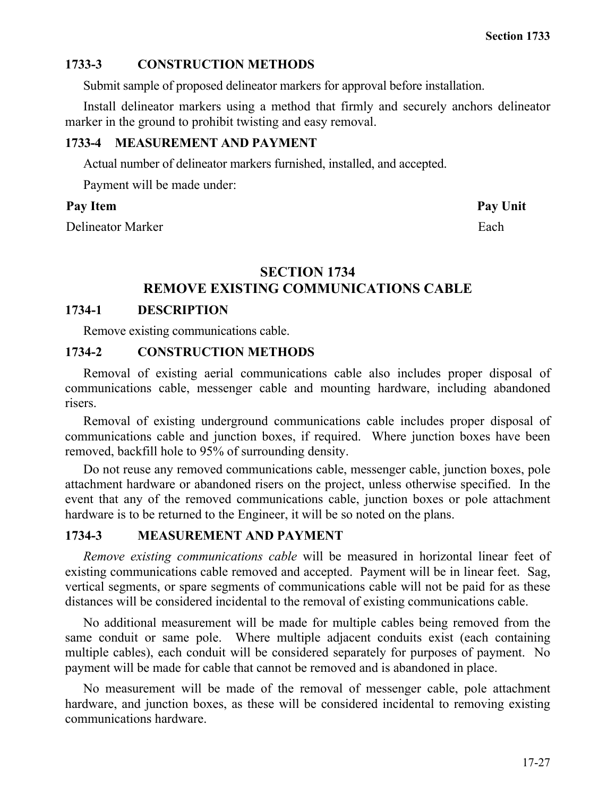# **1733-3 CONSTRUCTION METHODS**

Submit sample of proposed delineator markers for approval before installation.

Install delineator markers using a method that firmly and securely anchors delineator marker in the ground to prohibit twisting and easy removal.

### **1733-4 MEASUREMENT AND PAYMENT**

Actual number of delineator markers furnished, installed, and accepted.

Payment will be made under:

### Pay Item **Pay Unit**

Delineator Marker Each

# **SECTION 1734**

# **REMOVE EXISTING COMMUNICATIONS CABLE**

# **1734-1 DESCRIPTION**

Remove existing communications cable.

# **1734-2 CONSTRUCTION METHODS**

Removal of existing aerial communications cable also includes proper disposal of communications cable, messenger cable and mounting hardware, including abandoned risers.

Removal of existing underground communications cable includes proper disposal of communications cable and junction boxes, if required. Where junction boxes have been removed, backfill hole to 95% of surrounding density.

Do not reuse any removed communications cable, messenger cable, junction boxes, pole attachment hardware or abandoned risers on the project, unless otherwise specified. In the event that any of the removed communications cable, junction boxes or pole attachment hardware is to be returned to the Engineer, it will be so noted on the plans.

# **1734-3 MEASUREMENT AND PAYMENT**

*Remove existing communications cable* will be measured in horizontal linear feet of existing communications cable removed and accepted. Payment will be in linear feet. Sag, vertical segments, or spare segments of communications cable will not be paid for as these distances will be considered incidental to the removal of existing communications cable.

No additional measurement will be made for multiple cables being removed from the same conduit or same pole. Where multiple adjacent conduits exist (each containing multiple cables), each conduit will be considered separately for purposes of payment. No payment will be made for cable that cannot be removed and is abandoned in place.

No measurement will be made of the removal of messenger cable, pole attachment hardware, and junction boxes, as these will be considered incidental to removing existing communications hardware.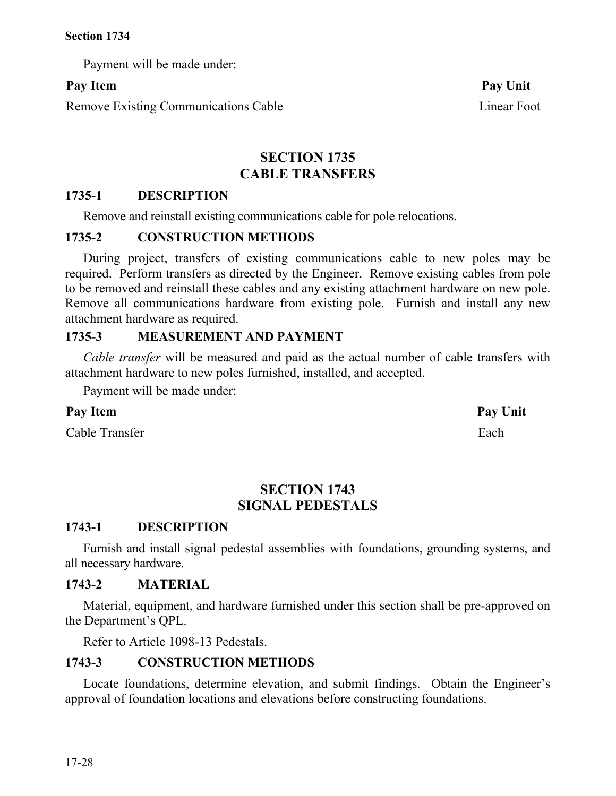Payment will be made under:

Remove Existing Communications Cable Linear Foot

**SECTION 1735 CABLE TRANSFERS**

# **1735-1 DESCRIPTION**

Remove and reinstall existing communications cable for pole relocations.

### **1735-2 CONSTRUCTION METHODS**

During project, transfers of existing communications cable to new poles may be required. Perform transfers as directed by the Engineer. Remove existing cables from pole to be removed and reinstall these cables and any existing attachment hardware on new pole. Remove all communications hardware from existing pole. Furnish and install any new attachment hardware as required.

# **1735-3 MEASUREMENT AND PAYMENT**

*Cable transfer* will be measured and paid as the actual number of cable transfers with attachment hardware to new poles furnished, installed, and accepted.

Payment will be made under:

### Pay Item **Pay Unit**

Cable Transfer Each extended the Each extended the Each extended the Each extended the Each extended the Each

# **SECTION 1743 SIGNAL PEDESTALS**

### **1743-1 DESCRIPTION**

Furnish and install signal pedestal assemblies with foundations, grounding systems, and all necessary hardware.

### **1743-2 MATERIAL**

Material, equipment, and hardware furnished under this section shall be pre-approved on the Department's QPL.

Refer to Article 1098-13 Pedestals.

### **1743-3 CONSTRUCTION METHODS**

Locate foundations, determine elevation, and submit findings. Obtain the Engineer's approval of foundation locations and elevations before constructing foundations.

Pay Item **Pay Unit**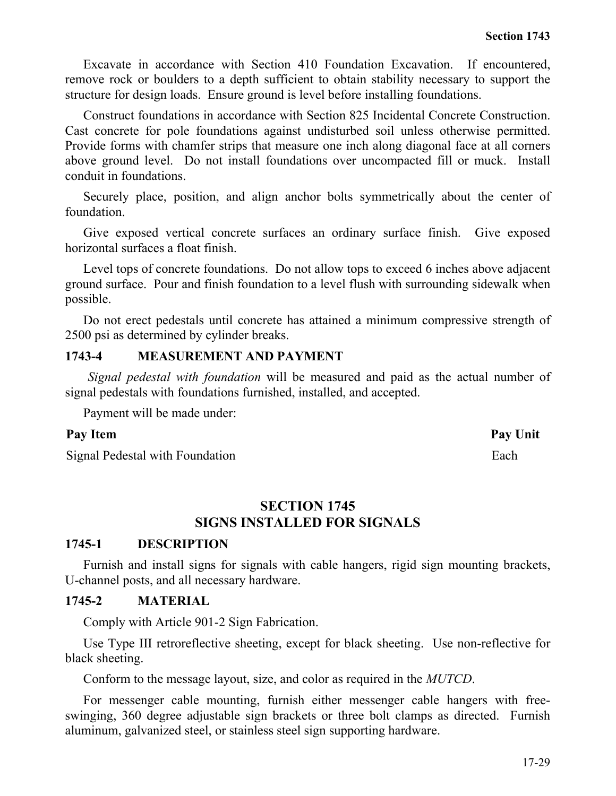Excavate in accordance with Section 410 Foundation Excavation. If encountered, remove rock or boulders to a depth sufficient to obtain stability necessary to support the structure for design loads. Ensure ground is level before installing foundations.

Construct foundations in accordance with Section 825 Incidental Concrete Construction. Cast concrete for pole foundations against undisturbed soil unless otherwise permitted. Provide forms with chamfer strips that measure one inch along diagonal face at all corners above ground level. Do not install foundations over uncompacted fill or muck. Install conduit in foundations.

Securely place, position, and align anchor bolts symmetrically about the center of foundation.

Give exposed vertical concrete surfaces an ordinary surface finish. Give exposed horizontal surfaces a float finish.

Level tops of concrete foundations. Do not allow tops to exceed 6 inches above adjacent ground surface. Pour and finish foundation to a level flush with surrounding sidewalk when possible.

Do not erect pedestals until concrete has attained a minimum compressive strength of 2500 psi as determined by cylinder breaks.

#### **1743-4 MEASUREMENT AND PAYMENT**

*Signal pedestal with foundation* will be measured and paid as the actual number of signal pedestals with foundations furnished, installed, and accepted.

Payment will be made under:

#### Pay Item Pay Unit

Signal Pedestal with Foundation Each

#### **SECTION 1745 SIGNS INSTALLED FOR SIGNALS**

#### **1745-1 DESCRIPTION**

Furnish and install signs for signals with cable hangers, rigid sign mounting brackets, U-channel posts, and all necessary hardware.

#### **1745-2 MATERIAL**

Comply with Article 901-2 Sign Fabrication.

Use Type III retroreflective sheeting, except for black sheeting. Use non-reflective for black sheeting.

Conform to the message layout, size, and color as required in the *MUTCD*.

For messenger cable mounting, furnish either messenger cable hangers with freeswinging, 360 degree adjustable sign brackets or three bolt clamps as directed. Furnish aluminum, galvanized steel, or stainless steel sign supporting hardware.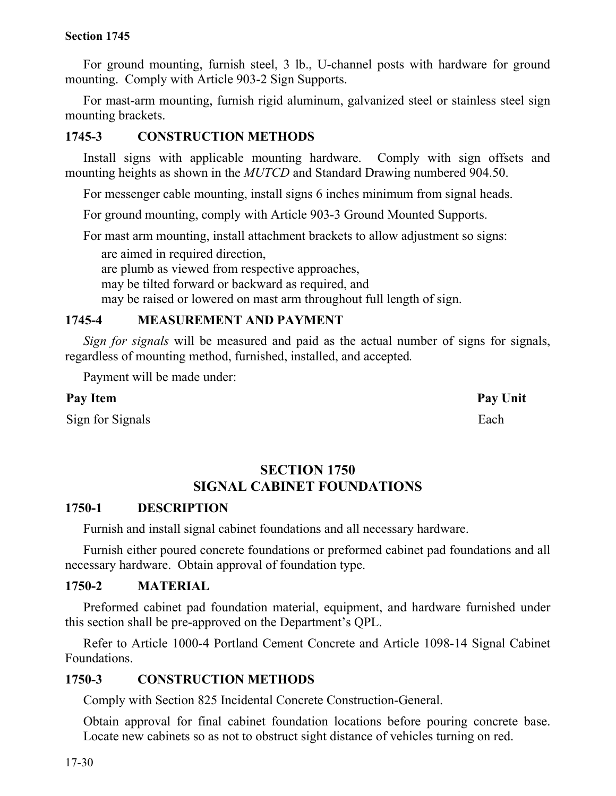For ground mounting, furnish steel, 3 lb., U-channel posts with hardware for ground mounting. Comply with Article 903-2 Sign Supports.

For mast-arm mounting, furnish rigid aluminum, galvanized steel or stainless steel sign mounting brackets.

## **1745-3 CONSTRUCTION METHODS**

Install signs with applicable mounting hardware. Comply with sign offsets and mounting heights as shown in the *MUTCD* and Standard Drawing numbered 904.50.

For messenger cable mounting, install signs 6 inches minimum from signal heads.

For ground mounting, comply with Article 903-3 Ground Mounted Supports.

For mast arm mounting, install attachment brackets to allow adjustment so signs:

are aimed in required direction,

are plumb as viewed from respective approaches,

may be tilted forward or backward as required, and

may be raised or lowered on mast arm throughout full length of sign.

# **1745-4 MEASUREMENT AND PAYMENT**

*Sign for signals* will be measured and paid as the actual number of signs for signals, regardless of mounting method, furnished, installed, and accepted*.*

Payment will be made under:

# **Pay Item Pay Unit**

Sign for Signals Each

# **SECTION 1750 SIGNAL CABINET FOUNDATIONS**

### **1750-1 DESCRIPTION**

Furnish and install signal cabinet foundations and all necessary hardware.

Furnish either poured concrete foundations or preformed cabinet pad foundations and all necessary hardware. Obtain approval of foundation type.

### **1750-2 MATERIAL**

Preformed cabinet pad foundation material, equipment, and hardware furnished under this section shall be pre-approved on the Department's QPL.

Refer to Article 1000-4 Portland Cement Concrete and Article 1098-14 Signal Cabinet Foundations.

# **1750-3 CONSTRUCTION METHODS**

Comply with Section 825 Incidental Concrete Construction-General.

Obtain approval for final cabinet foundation locations before pouring concrete base. Locate new cabinets so as not to obstruct sight distance of vehicles turning on red.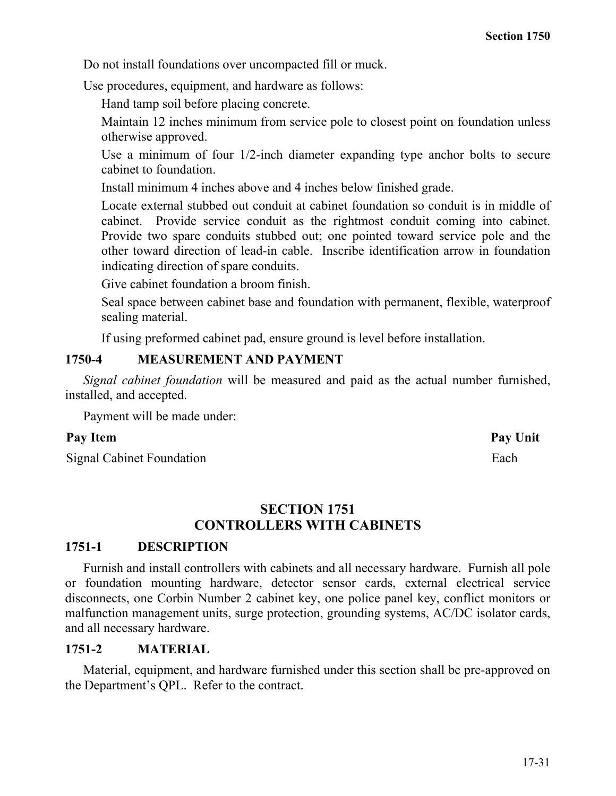Do not install foundations over uncompacted fill or muck.

Use procedures, equipment, and hardware as follows:

Hand tamp soil before placing concrete.

Maintain 12 inches minimum from service pole to closest point on foundation unless otherwise approved.

Use a minimum of four 1/2-inch diameter expanding type anchor bolts to secure cabinet to foundation.

Install minimum 4 inches above and 4 inches below finished grade.

Locate external stubbed out conduit at cabinet foundation so conduit is in middle of cabinet. Provide service conduit as the rightmost conduit coming into cabinet. Provide two spare conduits stubbed out; one pointed toward service pole and the other toward direction of lead-in cable. Inscribe identification arrow in foundation indicating direction of spare conduits.

Give cabinet foundation a broom finish.

Seal space between cabinet base and foundation with permanent, flexible, waterproof sealing material.

If using preformed cabinet pad, ensure ground is level before installation.

### **1750-4 MEASUREMENT AND PAYMENT**

*Signal cabinet foundation* will be measured and paid as the actual number furnished, installed, and accepted.

Payment will be made under:

#### Pay Item Pay Unit

Signal Cabinet Foundation Each

#### **SECTION 1751 CONTROLLERS WITH CABINETS**

### **1751-1 DESCRIPTION**

Furnish and install controllers with cabinets and all necessary hardware. Furnish all pole or foundation mounting hardware, detector sensor cards, external electrical service disconnects, one Corbin Number 2 cabinet key, one police panel key, conflict monitors or malfunction management units, surge protection, grounding systems, AC/DC isolator cards, and all necessary hardware.

#### **1751-2 MATERIAL**

Material, equipment, and hardware furnished under this section shall be pre-approved on the Department's QPL. Refer to the contract.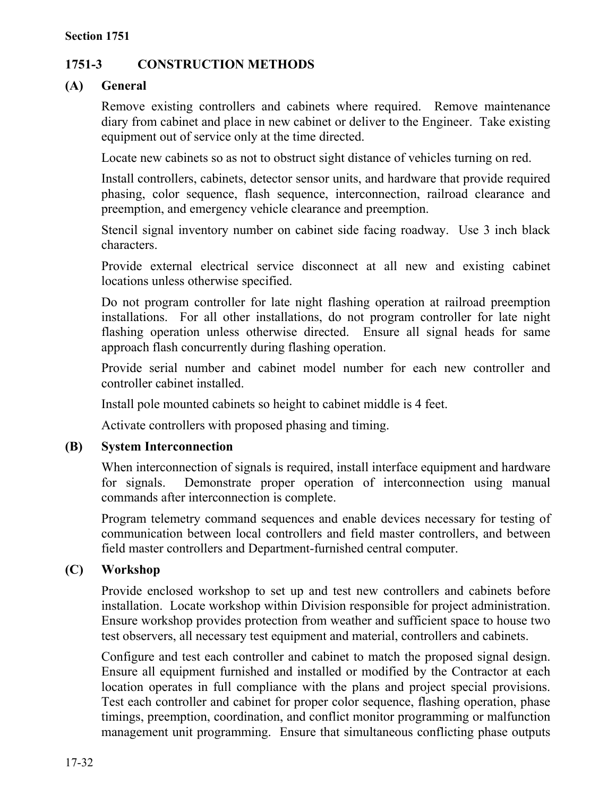# **1751-3 CONSTRUCTION METHODS**

# **(A) General**

Remove existing controllers and cabinets where required. Remove maintenance diary from cabinet and place in new cabinet or deliver to the Engineer. Take existing equipment out of service only at the time directed.

Locate new cabinets so as not to obstruct sight distance of vehicles turning on red.

Install controllers, cabinets, detector sensor units, and hardware that provide required phasing, color sequence, flash sequence, interconnection, railroad clearance and preemption, and emergency vehicle clearance and preemption.

Stencil signal inventory number on cabinet side facing roadway. Use 3 inch black characters.

Provide external electrical service disconnect at all new and existing cabinet locations unless otherwise specified.

Do not program controller for late night flashing operation at railroad preemption installations. For all other installations, do not program controller for late night flashing operation unless otherwise directed. Ensure all signal heads for same approach flash concurrently during flashing operation.

Provide serial number and cabinet model number for each new controller and controller cabinet installed.

Install pole mounted cabinets so height to cabinet middle is 4 feet.

Activate controllers with proposed phasing and timing.

### **(B) System Interconnection**

When interconnection of signals is required, install interface equipment and hardware for signals. Demonstrate proper operation of interconnection using manual commands after interconnection is complete.

Program telemetry command sequences and enable devices necessary for testing of communication between local controllers and field master controllers, and between field master controllers and Department-furnished central computer.

### **(C) Workshop**

Provide enclosed workshop to set up and test new controllers and cabinets before installation. Locate workshop within Division responsible for project administration. Ensure workshop provides protection from weather and sufficient space to house two test observers, all necessary test equipment and material, controllers and cabinets.

Configure and test each controller and cabinet to match the proposed signal design. Ensure all equipment furnished and installed or modified by the Contractor at each location operates in full compliance with the plans and project special provisions. Test each controller and cabinet for proper color sequence, flashing operation, phase timings, preemption, coordination, and conflict monitor programming or malfunction management unit programming. Ensure that simultaneous conflicting phase outputs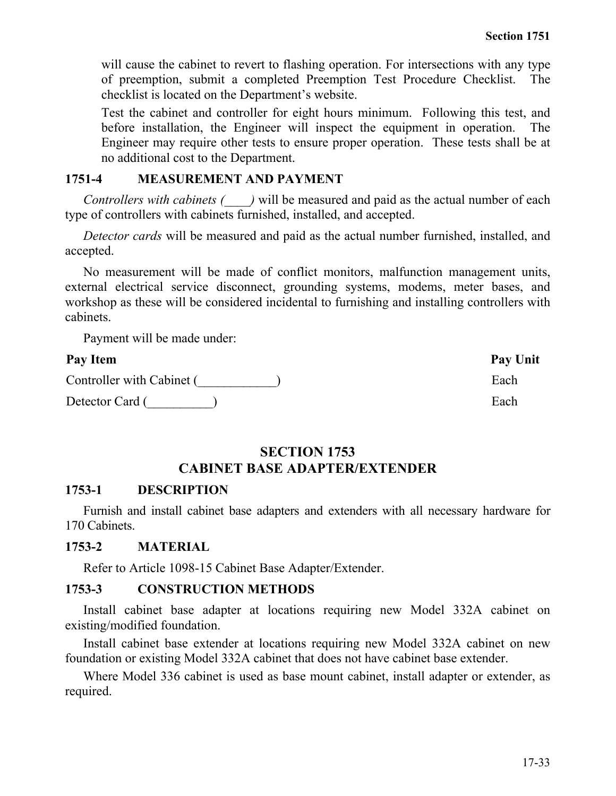will cause the cabinet to revert to flashing operation. For intersections with any type of preemption, submit a completed Preemption Test Procedure Checklist. The checklist is located on the Department's website.

Test the cabinet and controller for eight hours minimum. Following this test, and before installation, the Engineer will inspect the equipment in operation. The Engineer may require other tests to ensure proper operation. These tests shall be at no additional cost to the Department.

### **1751-4 MEASUREMENT AND PAYMENT**

*Controllers with cabinets (\_\_\_\_)* will be measured and paid as the actual number of each type of controllers with cabinets furnished, installed, and accepted.

*Detector cards* will be measured and paid as the actual number furnished, installed, and accepted.

No measurement will be made of conflict monitors, malfunction management units, external electrical service disconnect, grounding systems, modems, meter bases, and workshop as these will be considered incidental to furnishing and installing controllers with cabinets.

Payment will be made under:

#### **Pay Item Pay Unit**

Controller with Cabinet (  $\qquad \qquad$  ) Each

Detector Card (\_\_\_\_\_\_\_\_\_\_) Each

#### **SECTION 1753 CABINET BASE ADAPTER/EXTENDER**

#### **1753-1 DESCRIPTION**

Furnish and install cabinet base adapters and extenders with all necessary hardware for 170 Cabinets.

#### **1753-2 MATERIAL**

Refer to Article 1098-15 Cabinet Base Adapter/Extender.

#### **1753-3 CONSTRUCTION METHODS**

Install cabinet base adapter at locations requiring new Model 332A cabinet on existing/modified foundation.

Install cabinet base extender at locations requiring new Model 332A cabinet on new foundation or existing Model 332A cabinet that does not have cabinet base extender.

Where Model 336 cabinet is used as base mount cabinet, install adapter or extender, as required.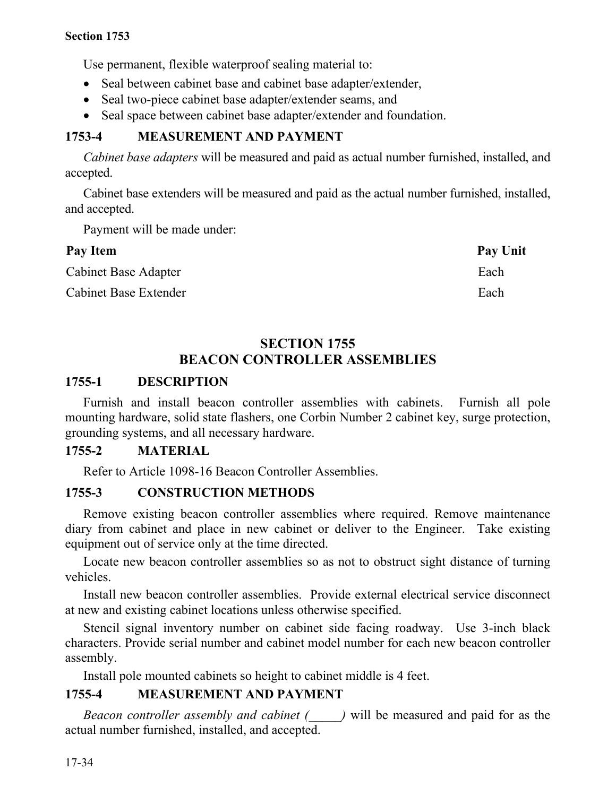Use permanent, flexible waterproof sealing material to:

- Seal between cabinet base and cabinet base adapter/extender,
- Seal two-piece cabinet base adapter/extender seams, and
- Seal space between cabinet base adapter/extender and foundation.

# **1753-4 MEASUREMENT AND PAYMENT**

*Cabinet base adapters* will be measured and paid as actual number furnished, installed, and accepted.

Cabinet base extenders will be measured and paid as the actual number furnished, installed, and accepted.

Payment will be made under:

| Pay Item                     | Pay Unit |
|------------------------------|----------|
| <b>Cabinet Base Adapter</b>  | Each     |
| <b>Cabinet Base Extender</b> | Each     |

# **SECTION 1755 BEACON CONTROLLER ASSEMBLIES**

# **1755-1 DESCRIPTION**

Furnish and install beacon controller assemblies with cabinets. Furnish all pole mounting hardware, solid state flashers, one Corbin Number 2 cabinet key, surge protection, grounding systems, and all necessary hardware.

### **1755-2 MATERIAL**

Refer to Article 1098-16 Beacon Controller Assemblies.

### **1755-3 CONSTRUCTION METHODS**

Remove existing beacon controller assemblies where required. Remove maintenance diary from cabinet and place in new cabinet or deliver to the Engineer. Take existing equipment out of service only at the time directed.

Locate new beacon controller assemblies so as not to obstruct sight distance of turning vehicles.

Install new beacon controller assemblies. Provide external electrical service disconnect at new and existing cabinet locations unless otherwise specified.

Stencil signal inventory number on cabinet side facing roadway. Use 3-inch black characters. Provide serial number and cabinet model number for each new beacon controller assembly.

Install pole mounted cabinets so height to cabinet middle is 4 feet.

### **1755-4 MEASUREMENT AND PAYMENT**

*Beacon controller assembly and cabinet (\_\_\_\_\_)* will be measured and paid for as the actual number furnished, installed, and accepted.